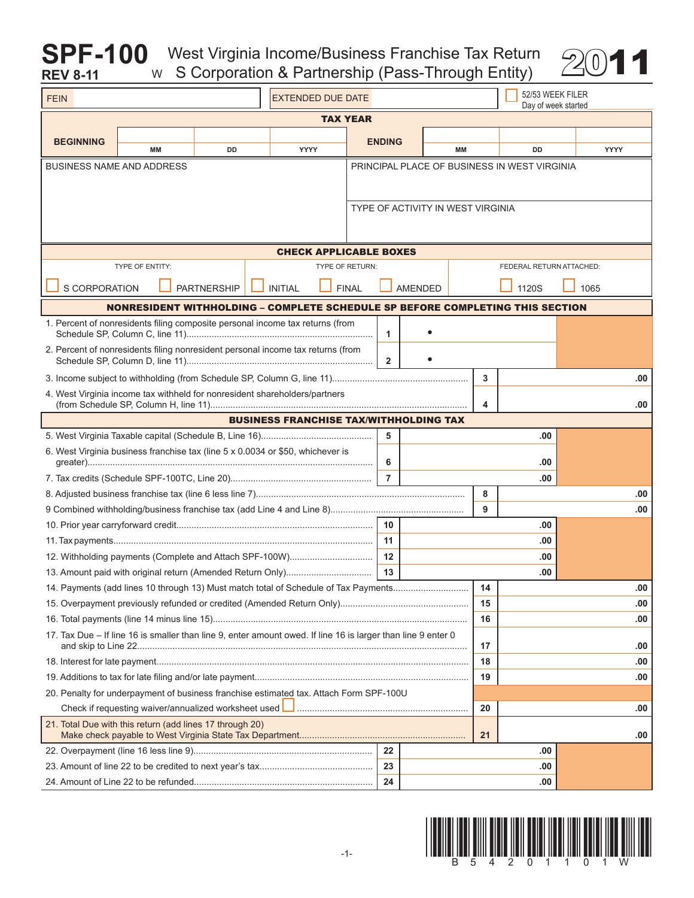## **SPF-100** W

**SPF-100** West Virginia Income/Business Franchise Tax Return 2011<br>REV 8-11 W S Corporation & Partnership (Pass-Through Entity) 2011

| <b>EXTENDED DUE DATE</b><br><b>FEIN</b>                                                                      |                                                          |                    |                                                                                     |                 |                |                                   |     | 52/53 WEEK FILER                             |      |
|--------------------------------------------------------------------------------------------------------------|----------------------------------------------------------|--------------------|-------------------------------------------------------------------------------------|-----------------|----------------|-----------------------------------|-----|----------------------------------------------|------|
| Day of week started<br><b>TAX YEAR</b>                                                                       |                                                          |                    |                                                                                     |                 |                |                                   |     |                                              |      |
|                                                                                                              |                                                          |                    |                                                                                     |                 |                |                                   |     |                                              |      |
| <b>BEGINNING</b>                                                                                             | <b>MM</b>                                                | <b>DD</b>          | YYYY                                                                                | <b>ENDING</b>   |                | MM                                |     | DD                                           | YYYY |
| <b>BUSINESS NAME AND ADDRESS</b>                                                                             |                                                          |                    |                                                                                     |                 |                |                                   |     | PRINCIPAL PLACE OF BUSINESS IN WEST VIRGINIA |      |
|                                                                                                              |                                                          |                    |                                                                                     |                 |                |                                   |     |                                              |      |
|                                                                                                              |                                                          |                    |                                                                                     |                 |                |                                   |     |                                              |      |
|                                                                                                              |                                                          |                    |                                                                                     |                 |                | TYPE OF ACTIVITY IN WEST VIRGINIA |     |                                              |      |
|                                                                                                              |                                                          |                    |                                                                                     |                 |                |                                   |     |                                              |      |
|                                                                                                              |                                                          |                    | <b>CHECK APPLICABLE BOXES</b>                                                       |                 |                |                                   |     |                                              |      |
|                                                                                                              | TYPE OF ENTITY:                                          |                    |                                                                                     | TYPE OF RETURN: |                |                                   |     | FEDERAL RETURN ATTACHED:                     |      |
| S CORPORATION                                                                                                |                                                          | <b>PARTNERSHIP</b> | <b>INITIAL</b>                                                                      | <b>FINAL</b>    | <b>AMENDED</b> |                                   |     | 1120S                                        | 1065 |
|                                                                                                              |                                                          |                    | NONRESIDENT WITHHOLDING - COMPLETE SCHEDULE SP BEFORE COMPLETING THIS SECTION       |                 |                |                                   |     |                                              |      |
|                                                                                                              |                                                          |                    | 1. Percent of nonresidents filing composite personal income tax returns (from       | $\mathbf{1}$    |                | $\bullet$                         |     |                                              |      |
|                                                                                                              |                                                          |                    | 2. Percent of nonresidents filing nonresident personal income tax returns (from     |                 |                |                                   |     |                                              |      |
|                                                                                                              |                                                          |                    |                                                                                     | $\overline{2}$  |                |                                   |     |                                              |      |
|                                                                                                              |                                                          |                    |                                                                                     |                 |                |                                   | 3   |                                              | .00  |
|                                                                                                              |                                                          |                    | 4. West Virginia income tax withheld for nonresident shareholders/partners          |                 |                |                                   | 4   |                                              | .00  |
|                                                                                                              |                                                          |                    | <b>BUSINESS FRANCHISE TAX/WITHHOLDING TAX</b>                                       |                 |                |                                   |     |                                              |      |
|                                                                                                              |                                                          |                    |                                                                                     | 5               |                |                                   |     | .00                                          |      |
|                                                                                                              |                                                          |                    | 6. West Virginia business franchise tax (line 5 x 0.0034 or \$50, whichever is      | 6               |                |                                   |     | .00                                          |      |
|                                                                                                              |                                                          |                    |                                                                                     | $\overline{7}$  |                |                                   |     | .00                                          |      |
|                                                                                                              |                                                          |                    |                                                                                     |                 |                |                                   | 8   |                                              | .00  |
|                                                                                                              |                                                          |                    |                                                                                     |                 |                |                                   | 9   |                                              | .00  |
|                                                                                                              |                                                          |                    |                                                                                     | 10              |                |                                   |     | .00                                          |      |
|                                                                                                              |                                                          |                    |                                                                                     | 11              |                |                                   |     | .00                                          |      |
|                                                                                                              |                                                          |                    |                                                                                     | 12              |                |                                   |     | .00                                          |      |
|                                                                                                              |                                                          |                    |                                                                                     | 13              |                |                                   |     | .00                                          |      |
|                                                                                                              |                                                          |                    | 14. Payments (add lines 10 through 13) Must match total of Schedule of Tax Payments |                 |                |                                   | 14  |                                              | .00  |
|                                                                                                              |                                                          |                    |                                                                                     |                 |                |                                   | 15  |                                              | .00  |
|                                                                                                              |                                                          |                    |                                                                                     |                 |                |                                   | 16  |                                              | .00  |
| 17. Tax Due - If line 16 is smaller than line 9, enter amount owed. If line 16 is larger than line 9 enter 0 |                                                          |                    |                                                                                     |                 | 17             |                                   | .00 |                                              |      |
|                                                                                                              |                                                          |                    |                                                                                     |                 | 18             |                                   | .00 |                                              |      |
|                                                                                                              |                                                          |                    |                                                                                     |                 | 19             |                                   | .00 |                                              |      |
| 20. Penalty for underpayment of business franchise estimated tax. Attach Form SPF-100U                       |                                                          |                    |                                                                                     |                 |                |                                   |     |                                              |      |
| Check if requesting waiver/annualized worksheet used                                                         |                                                          |                    |                                                                                     |                 |                | 20                                |     | .00                                          |      |
|                                                                                                              | 21. Total Due with this return (add lines 17 through 20) |                    |                                                                                     |                 |                |                                   | 21  |                                              | .00  |
|                                                                                                              |                                                          |                    |                                                                                     | 22              |                |                                   |     | .00                                          |      |
|                                                                                                              |                                                          |                    |                                                                                     | 23              |                |                                   |     | .00                                          |      |
| 24                                                                                                           |                                                          |                    |                                                                                     |                 |                |                                   |     | .00                                          |      |

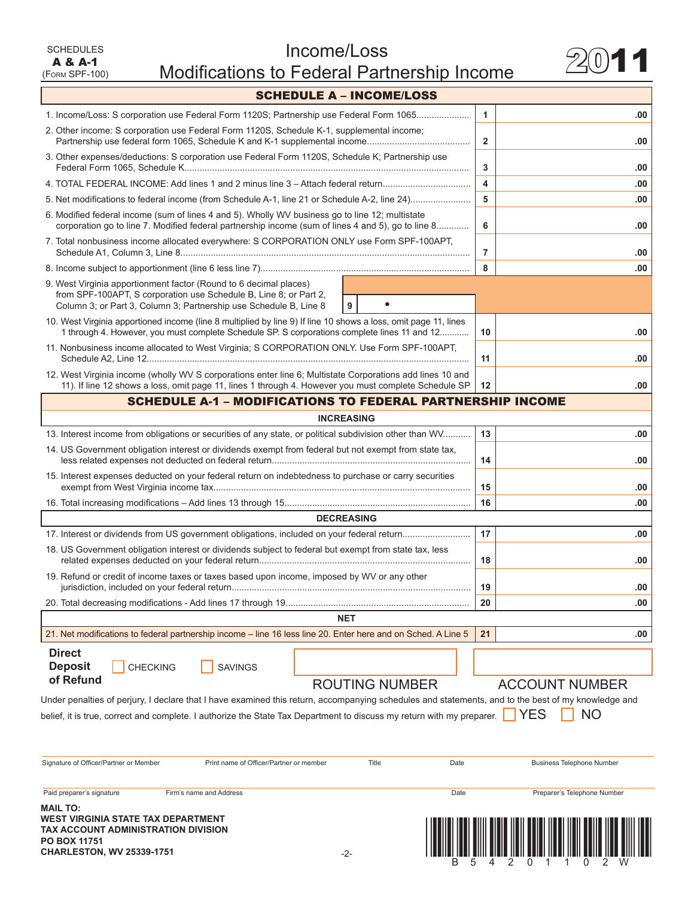| <b>SCHEDULES</b> |  |  |  |  |  |  |
|------------------|--|--|--|--|--|--|
| A & A-1          |  |  |  |  |  |  |
| (FORM SPF-100)   |  |  |  |  |  |  |

# Income/Loss Income/Loss<br>Modifications to Federal Partnership Income<br>Modifications to Federal Partnership Income



| 1. Income/Loss: S corporation use Federal Form 1120S; Partnership use Federal Form 1065<br>1<br>.00<br>2. Other income: S corporation use Federal Form 1120S, Schedule K-1, supplemental income;<br>$\overline{2}$<br>.00<br>3. Other expenses/deductions: S corporation use Federal Form 1120S, Schedule K; Partnership use<br>3<br>.00<br>4. TOTAL FEDERAL INCOME: Add lines 1 and 2 minus line 3 - Attach federal return<br>4<br>.00<br>5<br>5. Net modifications to federal income (from Schedule A-1, line 21 or Schedule A-2, line 24)<br>.00<br>6. Modified federal income (sum of lines 4 and 5). Wholly WV business go to line 12; multistate<br>corporation go to line 7. Modified federal partnership income (sum of lines 4 and 5), go to line 8<br>6<br>.00<br>7. Total nonbusiness income allocated everywhere: S CORPORATION ONLY use Form SPF-100APT,<br>7<br>.00<br>8<br>.00<br>9. West Virginia apportionment factor (Round to 6 decimal places)<br>from SPF-100APT, S corporation use Schedule B, Line 8; or Part 2,<br>$\bullet$<br>9<br>Column 3; or Part 3, Column 3; Partnership use Schedule B, Line 8<br>10. West Virginia apportioned income (line 8 multiplied by line 9) If line 10 shows a loss, omit page 11, lines<br>1 through 4. However, you must complete Schedule SP. S corporations complete lines 11 and 12<br>10<br>.00<br>11. Nonbusiness income allocated to West Virginia; S CORPORATION ONLY. Use Form SPF-100APT,<br>11<br>.00<br>12. West Virginia income (wholly WV S corporations enter line 6; Multistate Corporations add lines 10 and<br>11). If line 12 shows a loss, omit page 11, lines 1 through 4. However you must complete Schedule SP<br>12<br>.00<br><b>SCHEDULE A-1 - MODIFICATIONS TO FEDERAL PARTNERSHIP INCOME</b><br><b>INCREASING</b><br>13<br>13. Interest income from obligations or securities of any state, or political subdivision other than WV<br>.00<br>14. US Government obligation interest or dividends exempt from federal but not exempt from state tax,<br>14<br>.00<br>15. Interest expenses deducted on your federal return on indebtedness to purchase or carry securities<br>15<br>.00<br>16<br>.00<br><b>DECREASING</b><br>17<br>.00<br>18. US Government obligation interest or dividends subject to federal but exempt from state tax, less<br>18<br>.00<br>19. Refund or credit of income taxes or taxes based upon income, imposed by WV or any other<br>19<br>.00<br>20<br>.00<br><b>NET</b><br>21. Net modifications to federal partnership income – line 16 less line 20. Enter here and on Sched. A Line 5<br>21<br>.00<br><b>Direct</b><br><b>Deposit</b><br><b>CHECKING</b><br><b>SAVINGS</b><br>of Refund<br><b>ROUTING NUMBER</b><br><b>ACCOUNT NUMBER</b><br><b>YES</b><br>NO<br>Signature of Officer/Partner or Member<br>Print name of Officer/Partner or member<br>Title<br>Date<br><b>Business Telephone Number</b><br>Paid preparer's signature<br>Firm's name and Address<br>Preparer's Telephone Number<br>Date<br>WEST VIRGINIA STATE TAX DEPARTMENT<br>TAX ACCOUNT ADMINISTRATION DIVISION<br><b>PO BOX 11751</b><br>-2- | <b>SCHEDULE A - INCOME/LOSS</b> |  |
|-------------------------------------------------------------------------------------------------------------------------------------------------------------------------------------------------------------------------------------------------------------------------------------------------------------------------------------------------------------------------------------------------------------------------------------------------------------------------------------------------------------------------------------------------------------------------------------------------------------------------------------------------------------------------------------------------------------------------------------------------------------------------------------------------------------------------------------------------------------------------------------------------------------------------------------------------------------------------------------------------------------------------------------------------------------------------------------------------------------------------------------------------------------------------------------------------------------------------------------------------------------------------------------------------------------------------------------------------------------------------------------------------------------------------------------------------------------------------------------------------------------------------------------------------------------------------------------------------------------------------------------------------------------------------------------------------------------------------------------------------------------------------------------------------------------------------------------------------------------------------------------------------------------------------------------------------------------------------------------------------------------------------------------------------------------------------------------------------------------------------------------------------------------------------------------------------------------------------------------------------------------------------------------------------------------------------------------------------------------------------------------------------------------------------------------------------------------------------------------------------------------------------------------------------------------------------------------------------------------------------------------------------------------------------------------------------------------------------------------------------------------------------------------------------------------------------------------------------------------------------------------------------------------------------------------------------------------------------------------------------------------------------------------------------------------------------------------------------------------------------------------|---------------------------------|--|
|                                                                                                                                                                                                                                                                                                                                                                                                                                                                                                                                                                                                                                                                                                                                                                                                                                                                                                                                                                                                                                                                                                                                                                                                                                                                                                                                                                                                                                                                                                                                                                                                                                                                                                                                                                                                                                                                                                                                                                                                                                                                                                                                                                                                                                                                                                                                                                                                                                                                                                                                                                                                                                                                                                                                                                                                                                                                                                                                                                                                                                                                                                                                     |                                 |  |
| Under penalties of perjury, I declare that I have examined this return, accompanying schedules and statements, and to the best of my knowledge and<br>belief, it is true, correct and complete. I authorize the State Tax Department to discuss my return with my preparer.<br><b>MAIL TO:</b><br><b>CHARLESTON, WV 25339-1751</b>                                                                                                                                                                                                                                                                                                                                                                                                                                                                                                                                                                                                                                                                                                                                                                                                                                                                                                                                                                                                                                                                                                                                                                                                                                                                                                                                                                                                                                                                                                                                                                                                                                                                                                                                                                                                                                                                                                                                                                                                                                                                                                                                                                                                                                                                                                                                                                                                                                                                                                                                                                                                                                                                                                                                                                                                  |                                 |  |
|                                                                                                                                                                                                                                                                                                                                                                                                                                                                                                                                                                                                                                                                                                                                                                                                                                                                                                                                                                                                                                                                                                                                                                                                                                                                                                                                                                                                                                                                                                                                                                                                                                                                                                                                                                                                                                                                                                                                                                                                                                                                                                                                                                                                                                                                                                                                                                                                                                                                                                                                                                                                                                                                                                                                                                                                                                                                                                                                                                                                                                                                                                                                     |                                 |  |
|                                                                                                                                                                                                                                                                                                                                                                                                                                                                                                                                                                                                                                                                                                                                                                                                                                                                                                                                                                                                                                                                                                                                                                                                                                                                                                                                                                                                                                                                                                                                                                                                                                                                                                                                                                                                                                                                                                                                                                                                                                                                                                                                                                                                                                                                                                                                                                                                                                                                                                                                                                                                                                                                                                                                                                                                                                                                                                                                                                                                                                                                                                                                     |                                 |  |
|                                                                                                                                                                                                                                                                                                                                                                                                                                                                                                                                                                                                                                                                                                                                                                                                                                                                                                                                                                                                                                                                                                                                                                                                                                                                                                                                                                                                                                                                                                                                                                                                                                                                                                                                                                                                                                                                                                                                                                                                                                                                                                                                                                                                                                                                                                                                                                                                                                                                                                                                                                                                                                                                                                                                                                                                                                                                                                                                                                                                                                                                                                                                     |                                 |  |
|                                                                                                                                                                                                                                                                                                                                                                                                                                                                                                                                                                                                                                                                                                                                                                                                                                                                                                                                                                                                                                                                                                                                                                                                                                                                                                                                                                                                                                                                                                                                                                                                                                                                                                                                                                                                                                                                                                                                                                                                                                                                                                                                                                                                                                                                                                                                                                                                                                                                                                                                                                                                                                                                                                                                                                                                                                                                                                                                                                                                                                                                                                                                     |                                 |  |
|                                                                                                                                                                                                                                                                                                                                                                                                                                                                                                                                                                                                                                                                                                                                                                                                                                                                                                                                                                                                                                                                                                                                                                                                                                                                                                                                                                                                                                                                                                                                                                                                                                                                                                                                                                                                                                                                                                                                                                                                                                                                                                                                                                                                                                                                                                                                                                                                                                                                                                                                                                                                                                                                                                                                                                                                                                                                                                                                                                                                                                                                                                                                     |                                 |  |
|                                                                                                                                                                                                                                                                                                                                                                                                                                                                                                                                                                                                                                                                                                                                                                                                                                                                                                                                                                                                                                                                                                                                                                                                                                                                                                                                                                                                                                                                                                                                                                                                                                                                                                                                                                                                                                                                                                                                                                                                                                                                                                                                                                                                                                                                                                                                                                                                                                                                                                                                                                                                                                                                                                                                                                                                                                                                                                                                                                                                                                                                                                                                     |                                 |  |
|                                                                                                                                                                                                                                                                                                                                                                                                                                                                                                                                                                                                                                                                                                                                                                                                                                                                                                                                                                                                                                                                                                                                                                                                                                                                                                                                                                                                                                                                                                                                                                                                                                                                                                                                                                                                                                                                                                                                                                                                                                                                                                                                                                                                                                                                                                                                                                                                                                                                                                                                                                                                                                                                                                                                                                                                                                                                                                                                                                                                                                                                                                                                     |                                 |  |
|                                                                                                                                                                                                                                                                                                                                                                                                                                                                                                                                                                                                                                                                                                                                                                                                                                                                                                                                                                                                                                                                                                                                                                                                                                                                                                                                                                                                                                                                                                                                                                                                                                                                                                                                                                                                                                                                                                                                                                                                                                                                                                                                                                                                                                                                                                                                                                                                                                                                                                                                                                                                                                                                                                                                                                                                                                                                                                                                                                                                                                                                                                                                     |                                 |  |
|                                                                                                                                                                                                                                                                                                                                                                                                                                                                                                                                                                                                                                                                                                                                                                                                                                                                                                                                                                                                                                                                                                                                                                                                                                                                                                                                                                                                                                                                                                                                                                                                                                                                                                                                                                                                                                                                                                                                                                                                                                                                                                                                                                                                                                                                                                                                                                                                                                                                                                                                                                                                                                                                                                                                                                                                                                                                                                                                                                                                                                                                                                                                     |                                 |  |
|                                                                                                                                                                                                                                                                                                                                                                                                                                                                                                                                                                                                                                                                                                                                                                                                                                                                                                                                                                                                                                                                                                                                                                                                                                                                                                                                                                                                                                                                                                                                                                                                                                                                                                                                                                                                                                                                                                                                                                                                                                                                                                                                                                                                                                                                                                                                                                                                                                                                                                                                                                                                                                                                                                                                                                                                                                                                                                                                                                                                                                                                                                                                     |                                 |  |
|                                                                                                                                                                                                                                                                                                                                                                                                                                                                                                                                                                                                                                                                                                                                                                                                                                                                                                                                                                                                                                                                                                                                                                                                                                                                                                                                                                                                                                                                                                                                                                                                                                                                                                                                                                                                                                                                                                                                                                                                                                                                                                                                                                                                                                                                                                                                                                                                                                                                                                                                                                                                                                                                                                                                                                                                                                                                                                                                                                                                                                                                                                                                     |                                 |  |
|                                                                                                                                                                                                                                                                                                                                                                                                                                                                                                                                                                                                                                                                                                                                                                                                                                                                                                                                                                                                                                                                                                                                                                                                                                                                                                                                                                                                                                                                                                                                                                                                                                                                                                                                                                                                                                                                                                                                                                                                                                                                                                                                                                                                                                                                                                                                                                                                                                                                                                                                                                                                                                                                                                                                                                                                                                                                                                                                                                                                                                                                                                                                     |                                 |  |
|                                                                                                                                                                                                                                                                                                                                                                                                                                                                                                                                                                                                                                                                                                                                                                                                                                                                                                                                                                                                                                                                                                                                                                                                                                                                                                                                                                                                                                                                                                                                                                                                                                                                                                                                                                                                                                                                                                                                                                                                                                                                                                                                                                                                                                                                                                                                                                                                                                                                                                                                                                                                                                                                                                                                                                                                                                                                                                                                                                                                                                                                                                                                     |                                 |  |
|                                                                                                                                                                                                                                                                                                                                                                                                                                                                                                                                                                                                                                                                                                                                                                                                                                                                                                                                                                                                                                                                                                                                                                                                                                                                                                                                                                                                                                                                                                                                                                                                                                                                                                                                                                                                                                                                                                                                                                                                                                                                                                                                                                                                                                                                                                                                                                                                                                                                                                                                                                                                                                                                                                                                                                                                                                                                                                                                                                                                                                                                                                                                     |                                 |  |
|                                                                                                                                                                                                                                                                                                                                                                                                                                                                                                                                                                                                                                                                                                                                                                                                                                                                                                                                                                                                                                                                                                                                                                                                                                                                                                                                                                                                                                                                                                                                                                                                                                                                                                                                                                                                                                                                                                                                                                                                                                                                                                                                                                                                                                                                                                                                                                                                                                                                                                                                                                                                                                                                                                                                                                                                                                                                                                                                                                                                                                                                                                                                     |                                 |  |
|                                                                                                                                                                                                                                                                                                                                                                                                                                                                                                                                                                                                                                                                                                                                                                                                                                                                                                                                                                                                                                                                                                                                                                                                                                                                                                                                                                                                                                                                                                                                                                                                                                                                                                                                                                                                                                                                                                                                                                                                                                                                                                                                                                                                                                                                                                                                                                                                                                                                                                                                                                                                                                                                                                                                                                                                                                                                                                                                                                                                                                                                                                                                     |                                 |  |
|                                                                                                                                                                                                                                                                                                                                                                                                                                                                                                                                                                                                                                                                                                                                                                                                                                                                                                                                                                                                                                                                                                                                                                                                                                                                                                                                                                                                                                                                                                                                                                                                                                                                                                                                                                                                                                                                                                                                                                                                                                                                                                                                                                                                                                                                                                                                                                                                                                                                                                                                                                                                                                                                                                                                                                                                                                                                                                                                                                                                                                                                                                                                     |                                 |  |
|                                                                                                                                                                                                                                                                                                                                                                                                                                                                                                                                                                                                                                                                                                                                                                                                                                                                                                                                                                                                                                                                                                                                                                                                                                                                                                                                                                                                                                                                                                                                                                                                                                                                                                                                                                                                                                                                                                                                                                                                                                                                                                                                                                                                                                                                                                                                                                                                                                                                                                                                                                                                                                                                                                                                                                                                                                                                                                                                                                                                                                                                                                                                     |                                 |  |
|                                                                                                                                                                                                                                                                                                                                                                                                                                                                                                                                                                                                                                                                                                                                                                                                                                                                                                                                                                                                                                                                                                                                                                                                                                                                                                                                                                                                                                                                                                                                                                                                                                                                                                                                                                                                                                                                                                                                                                                                                                                                                                                                                                                                                                                                                                                                                                                                                                                                                                                                                                                                                                                                                                                                                                                                                                                                                                                                                                                                                                                                                                                                     |                                 |  |
|                                                                                                                                                                                                                                                                                                                                                                                                                                                                                                                                                                                                                                                                                                                                                                                                                                                                                                                                                                                                                                                                                                                                                                                                                                                                                                                                                                                                                                                                                                                                                                                                                                                                                                                                                                                                                                                                                                                                                                                                                                                                                                                                                                                                                                                                                                                                                                                                                                                                                                                                                                                                                                                                                                                                                                                                                                                                                                                                                                                                                                                                                                                                     |                                 |  |
|                                                                                                                                                                                                                                                                                                                                                                                                                                                                                                                                                                                                                                                                                                                                                                                                                                                                                                                                                                                                                                                                                                                                                                                                                                                                                                                                                                                                                                                                                                                                                                                                                                                                                                                                                                                                                                                                                                                                                                                                                                                                                                                                                                                                                                                                                                                                                                                                                                                                                                                                                                                                                                                                                                                                                                                                                                                                                                                                                                                                                                                                                                                                     |                                 |  |
|                                                                                                                                                                                                                                                                                                                                                                                                                                                                                                                                                                                                                                                                                                                                                                                                                                                                                                                                                                                                                                                                                                                                                                                                                                                                                                                                                                                                                                                                                                                                                                                                                                                                                                                                                                                                                                                                                                                                                                                                                                                                                                                                                                                                                                                                                                                                                                                                                                                                                                                                                                                                                                                                                                                                                                                                                                                                                                                                                                                                                                                                                                                                     |                                 |  |
|                                                                                                                                                                                                                                                                                                                                                                                                                                                                                                                                                                                                                                                                                                                                                                                                                                                                                                                                                                                                                                                                                                                                                                                                                                                                                                                                                                                                                                                                                                                                                                                                                                                                                                                                                                                                                                                                                                                                                                                                                                                                                                                                                                                                                                                                                                                                                                                                                                                                                                                                                                                                                                                                                                                                                                                                                                                                                                                                                                                                                                                                                                                                     |                                 |  |
|                                                                                                                                                                                                                                                                                                                                                                                                                                                                                                                                                                                                                                                                                                                                                                                                                                                                                                                                                                                                                                                                                                                                                                                                                                                                                                                                                                                                                                                                                                                                                                                                                                                                                                                                                                                                                                                                                                                                                                                                                                                                                                                                                                                                                                                                                                                                                                                                                                                                                                                                                                                                                                                                                                                                                                                                                                                                                                                                                                                                                                                                                                                                     |                                 |  |
|                                                                                                                                                                                                                                                                                                                                                                                                                                                                                                                                                                                                                                                                                                                                                                                                                                                                                                                                                                                                                                                                                                                                                                                                                                                                                                                                                                                                                                                                                                                                                                                                                                                                                                                                                                                                                                                                                                                                                                                                                                                                                                                                                                                                                                                                                                                                                                                                                                                                                                                                                                                                                                                                                                                                                                                                                                                                                                                                                                                                                                                                                                                                     |                                 |  |
|                                                                                                                                                                                                                                                                                                                                                                                                                                                                                                                                                                                                                                                                                                                                                                                                                                                                                                                                                                                                                                                                                                                                                                                                                                                                                                                                                                                                                                                                                                                                                                                                                                                                                                                                                                                                                                                                                                                                                                                                                                                                                                                                                                                                                                                                                                                                                                                                                                                                                                                                                                                                                                                                                                                                                                                                                                                                                                                                                                                                                                                                                                                                     |                                 |  |
|                                                                                                                                                                                                                                                                                                                                                                                                                                                                                                                                                                                                                                                                                                                                                                                                                                                                                                                                                                                                                                                                                                                                                                                                                                                                                                                                                                                                                                                                                                                                                                                                                                                                                                                                                                                                                                                                                                                                                                                                                                                                                                                                                                                                                                                                                                                                                                                                                                                                                                                                                                                                                                                                                                                                                                                                                                                                                                                                                                                                                                                                                                                                     |                                 |  |
|                                                                                                                                                                                                                                                                                                                                                                                                                                                                                                                                                                                                                                                                                                                                                                                                                                                                                                                                                                                                                                                                                                                                                                                                                                                                                                                                                                                                                                                                                                                                                                                                                                                                                                                                                                                                                                                                                                                                                                                                                                                                                                                                                                                                                                                                                                                                                                                                                                                                                                                                                                                                                                                                                                                                                                                                                                                                                                                                                                                                                                                                                                                                     |                                 |  |
|                                                                                                                                                                                                                                                                                                                                                                                                                                                                                                                                                                                                                                                                                                                                                                                                                                                                                                                                                                                                                                                                                                                                                                                                                                                                                                                                                                                                                                                                                                                                                                                                                                                                                                                                                                                                                                                                                                                                                                                                                                                                                                                                                                                                                                                                                                                                                                                                                                                                                                                                                                                                                                                                                                                                                                                                                                                                                                                                                                                                                                                                                                                                     |                                 |  |
|                                                                                                                                                                                                                                                                                                                                                                                                                                                                                                                                                                                                                                                                                                                                                                                                                                                                                                                                                                                                                                                                                                                                                                                                                                                                                                                                                                                                                                                                                                                                                                                                                                                                                                                                                                                                                                                                                                                                                                                                                                                                                                                                                                                                                                                                                                                                                                                                                                                                                                                                                                                                                                                                                                                                                                                                                                                                                                                                                                                                                                                                                                                                     |                                 |  |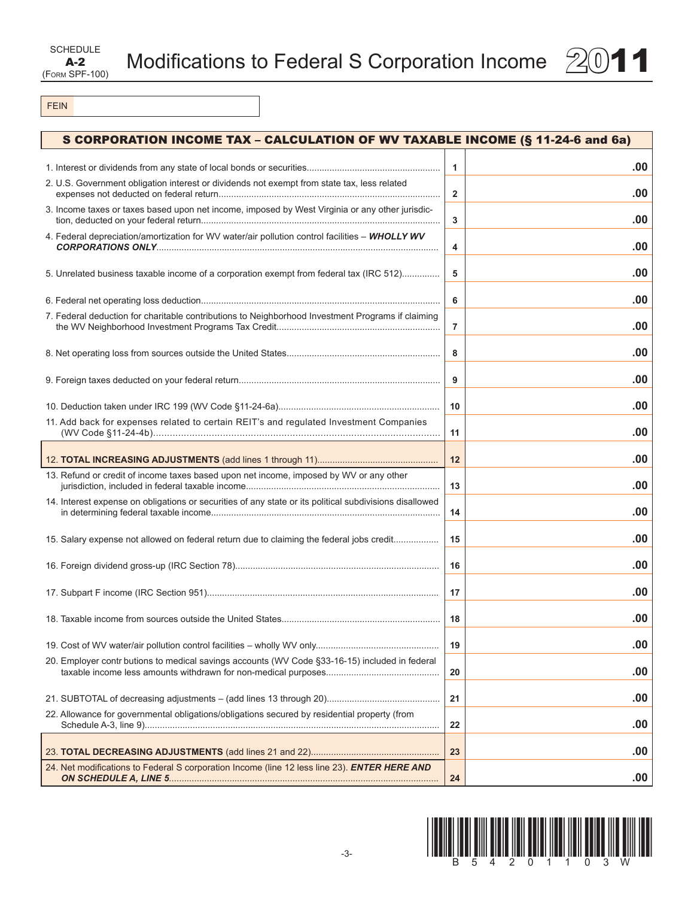A-2 (Form SPF-100)

FEIN

| S CORPORATION INCOME TAX - CALCULATION OF WV TAXABLE INCOME (§ 11-24-6 and 6a)                          |                |     |
|---------------------------------------------------------------------------------------------------------|----------------|-----|
|                                                                                                         | $\mathbf{1}$   | .00 |
| 2. U.S. Government obligation interest or dividends not exempt from state tax, less related             | $\overline{2}$ | .00 |
| 3. Income taxes or taxes based upon net income, imposed by West Virginia or any other jurisdic-         | 3              | .00 |
| 4. Federal depreciation/amortization for WV water/air pollution control facilities - WHOLLY WV          | 4              | .00 |
| 5. Unrelated business taxable income of a corporation exempt from federal tax (IRC 512)                 | 5              | .00 |
|                                                                                                         | 6              | .00 |
| 7. Federal deduction for charitable contributions to Neighborhood Investment Programs if claiming       | $\overline{7}$ | .00 |
|                                                                                                         | 8              | .00 |
|                                                                                                         | 9              | .00 |
|                                                                                                         | 10             | .00 |
| 11. Add back for expenses related to certain REIT's and regulated Investment Companies                  | 11             | .00 |
|                                                                                                         | 12             | .00 |
| 13. Refund or credit of income taxes based upon net income, imposed by WV or any other                  | 13             | .00 |
| 14. Interest expense on obligations or securities of any state or its political subdivisions disallowed | 14             | .00 |
| 15. Salary expense not allowed on federal return due to claiming the federal jobs credit                | 15             | .00 |
|                                                                                                         | 16             | .00 |
|                                                                                                         | 17             | .00 |
|                                                                                                         | 18             | .00 |
|                                                                                                         | 19             | .00 |
| 20. Employer contr butions to medical savings accounts (WV Code §33-16-15) included in federal          | 20             | .00 |
|                                                                                                         | 21             | .00 |
| 22. Allowance for governmental obligations/obligations secured by residential property (from            | 22             | .00 |
|                                                                                                         | 23             | .00 |
| 24. Net modifications to Federal S corporation Income (line 12 less line 23). ENTER HERE AND            | 24             | .00 |

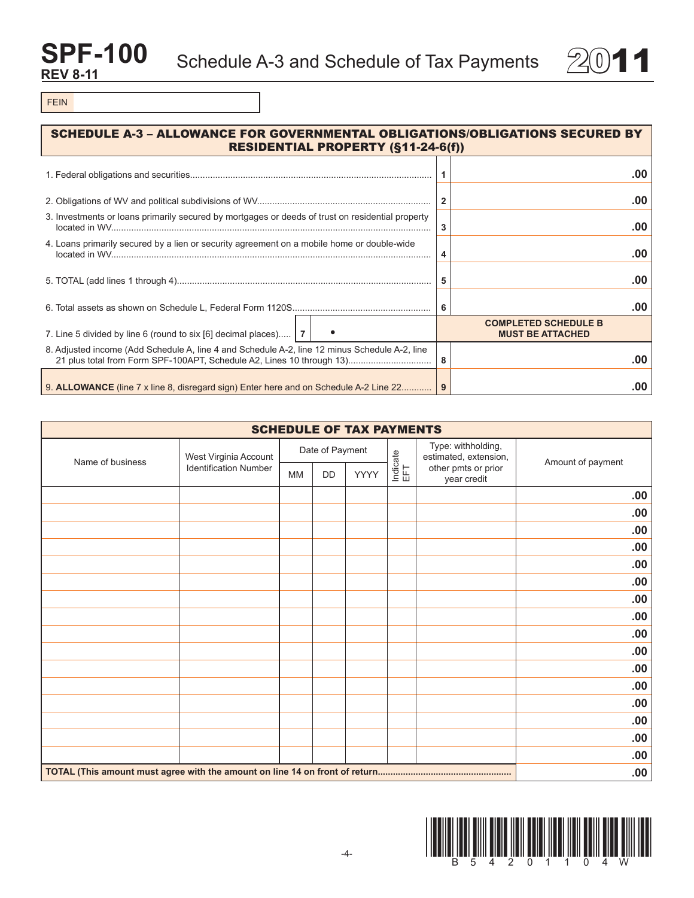

FEIN

| SCHEDULE A-3 – ALLOWANCE FOR GOVERNMENTAL OBLIGATIONS/OBLIGATIONS SECURED BY<br><b>RESIDENTIAL PROPERTY (§11-24-6(f))</b> |   |                                                        |
|---------------------------------------------------------------------------------------------------------------------------|---|--------------------------------------------------------|
|                                                                                                                           |   | .00                                                    |
|                                                                                                                           |   | .00                                                    |
| 3. Investments or loans primarily secured by mortgages or deeds of trust on residential property                          | 3 | .00                                                    |
| 4. Loans primarily secured by a lien or security agreement on a mobile home or double-wide                                |   | .00                                                    |
|                                                                                                                           | 5 | .00                                                    |
|                                                                                                                           | 6 | .00                                                    |
| 7. Line 5 divided by line 6 (round to six [6] decimal places) 7                                                           |   | <b>COMPLETED SCHEDULE B</b><br><b>MUST BE ATTACHED</b> |
| 8. Adjusted income (Add Schedule A, line 4 and Schedule A-2, line 12 minus Schedule A-2, line                             | 8 | .00                                                    |
| 9. ALLOWANCE (line 7 x line 8, disregard sign) Enter here and on Schedule A-2 Line 22                                     |   | .00                                                    |

| <b>SCHEDULE OF TAX PAYMENTS</b> |                       |           |                 |             |                 |                                                                                   |                   |  |
|---------------------------------|-----------------------|-----------|-----------------|-------------|-----------------|-----------------------------------------------------------------------------------|-------------------|--|
| Name of business                | West Virginia Account |           | Date of Payment |             |                 | Type: withholding,<br>estimated, extension,<br>other pmts or prior<br>year credit | Amount of payment |  |
|                                 | Identification Number | <b>MM</b> | <b>DD</b>       | <b>YYYY</b> | Indicate<br>EFT |                                                                                   |                   |  |
|                                 |                       |           |                 |             |                 |                                                                                   | .00               |  |
|                                 |                       |           |                 |             |                 |                                                                                   | .00               |  |
|                                 |                       |           |                 |             |                 |                                                                                   | .00               |  |
|                                 |                       |           |                 |             |                 |                                                                                   | .00               |  |
|                                 |                       |           |                 |             |                 |                                                                                   | .00               |  |
|                                 |                       |           |                 |             |                 |                                                                                   | .00               |  |
|                                 |                       |           |                 |             |                 |                                                                                   | .00               |  |
|                                 |                       |           |                 |             |                 |                                                                                   | .00               |  |
|                                 |                       |           |                 |             |                 |                                                                                   | .00               |  |
|                                 |                       |           |                 |             |                 |                                                                                   | .00               |  |
|                                 |                       |           |                 |             |                 |                                                                                   | .00               |  |
|                                 |                       |           |                 |             |                 |                                                                                   | .00               |  |
|                                 |                       |           |                 |             |                 |                                                                                   | .00               |  |
|                                 |                       |           |                 |             |                 |                                                                                   | .00               |  |
|                                 |                       |           |                 |             |                 |                                                                                   | .00               |  |
|                                 |                       |           |                 |             |                 |                                                                                   | .00               |  |
|                                 | .00                   |           |                 |             |                 |                                                                                   |                   |  |

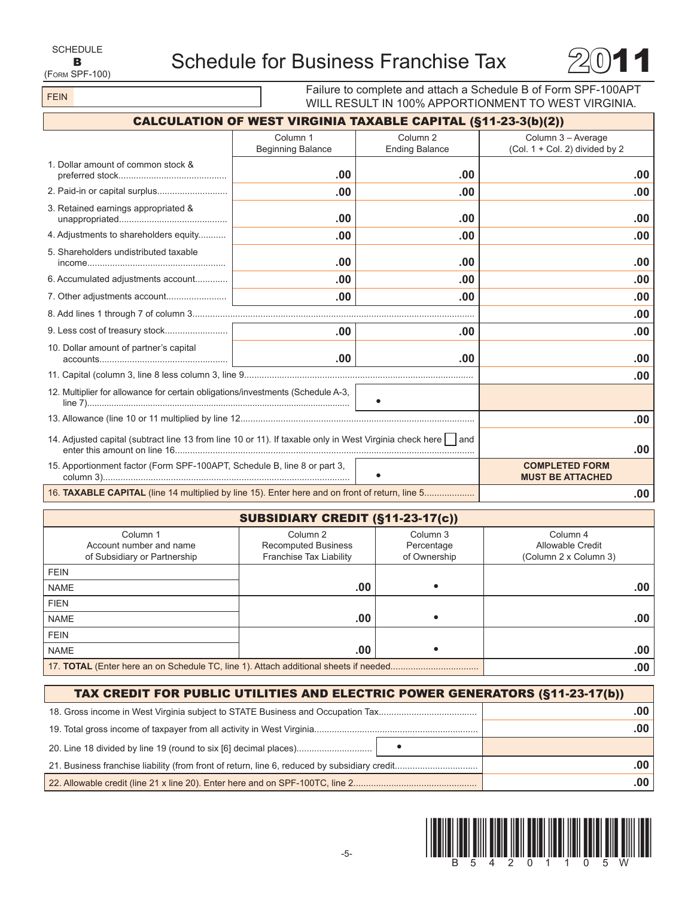| SCHEDULE       |  |  |  |  |  |
|----------------|--|--|--|--|--|
| в              |  |  |  |  |  |
| (FORM SPF-100) |  |  |  |  |  |



FEIN

Failure to complete and attach a Schedule B of Form SPF-100APT WILL RESULT IN 100% APPORTIONMENT TO WEST VIRGINIA.

| <b>CALCULATION OF WEST VIRGINIA TAXABLE CAPITAL (§11-23-3(b)(2))</b>                                          |                                                  |                                              |                                                        |     |  |  |
|---------------------------------------------------------------------------------------------------------------|--------------------------------------------------|----------------------------------------------|--------------------------------------------------------|-----|--|--|
|                                                                                                               | Column 1<br><b>Beginning Balance</b>             | Column <sub>2</sub><br><b>Ending Balance</b> | Column 3 - Average<br>$(Col. 1 + Col. 2)$ divided by 2 |     |  |  |
| 1. Dollar amount of common stock &                                                                            | .00                                              | .00                                          |                                                        | .00 |  |  |
|                                                                                                               | .00                                              | .00                                          |                                                        | .00 |  |  |
| 3. Retained earnings appropriated &                                                                           | .00                                              | .00                                          |                                                        | .00 |  |  |
| 4. Adjustments to shareholders equity                                                                         | .00                                              | .00                                          |                                                        | .00 |  |  |
| 5. Shareholders undistributed taxable                                                                         | .00                                              | .00                                          |                                                        | .00 |  |  |
| 6. Accumulated adjustments account                                                                            | .00                                              | .00                                          |                                                        | .00 |  |  |
|                                                                                                               | .00                                              | .00                                          |                                                        | .00 |  |  |
|                                                                                                               |                                                  |                                              |                                                        | .00 |  |  |
|                                                                                                               | .00                                              | .00                                          |                                                        | .00 |  |  |
| 10. Dollar amount of partner's capital                                                                        | .00                                              | .00                                          |                                                        | .00 |  |  |
|                                                                                                               |                                                  |                                              |                                                        | .00 |  |  |
| 12. Multiplier for allowance for certain obligations/investments (Schedule A-3,                               |                                                  |                                              |                                                        |     |  |  |
|                                                                                                               |                                                  | .00                                          |                                                        |     |  |  |
| 14. Adjusted capital (subtract line 13 from line 10 or 11). If taxable only in West Virginia check here   and |                                                  | .00                                          |                                                        |     |  |  |
| 15. Apportionment factor (Form SPF-100APT, Schedule B, line 8 or part 3,                                      | <b>COMPLETED FORM</b><br><b>MUST BE ATTACHED</b> |                                              |                                                        |     |  |  |
| 16. TAXABLE CAPITAL (line 14 multiplied by line 15). Enter here and on front of return, line 5                |                                                  | .00                                          |                                                        |     |  |  |

#### SUBSIDIARY CREDIT (§11-23-17(c)) Column 1 Account number and name of Subsidiary or Partnership Column 2 Recomputed Business Franchise Tax Liability Column 3 Percentage of Ownership Column 4 Allowable Credit (Column 2 x Column 3) FEIN NAME **.00 • .00** FIEN NAME **.00 • .00** FEIN NAME **.00 • .00** 17. **TOTAL** (Enter here an on Schedule TC, line 1). Attach additional sheets if needed................................... **.00**

| <b>TAX CREDIT FOR PUBLIC UTILITIES AND ELECTRIC POWER GENERATORS (§11-23-17(b))</b> |  |  |  |  |  |
|-------------------------------------------------------------------------------------|--|--|--|--|--|
|                                                                                     |  |  |  |  |  |
|                                                                                     |  |  |  |  |  |
|                                                                                     |  |  |  |  |  |
|                                                                                     |  |  |  |  |  |
|                                                                                     |  |  |  |  |  |

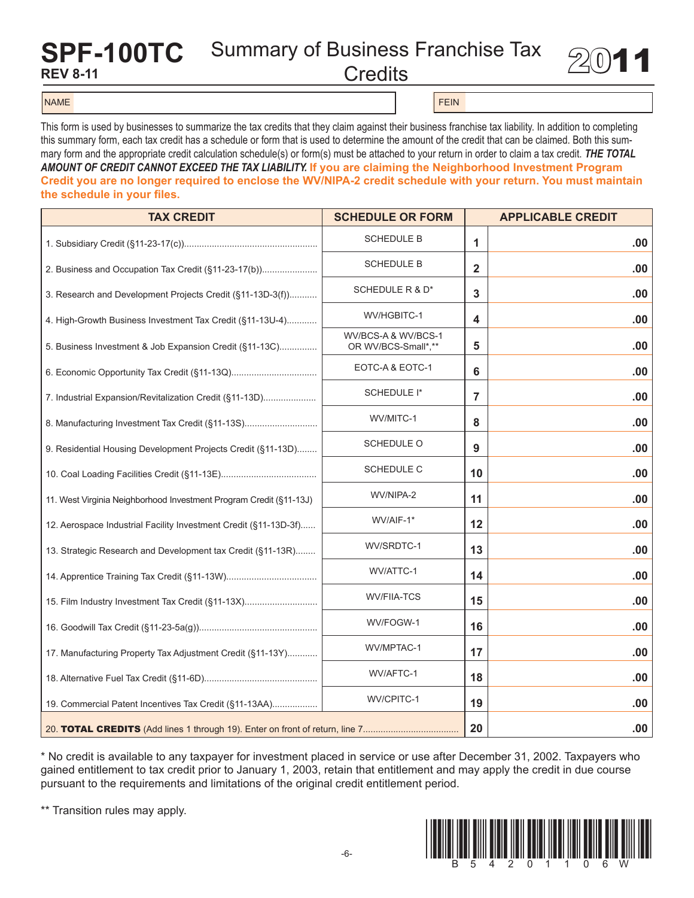# **SPF-100TC REV 8-11**

Summary of Business Franchise Tax 2011



NAME FEIN AND THE EXPLORER OF THE EXPLORER THAT IS A REPORT OF THE EXPLORER THAT IS A REPORT OF THE EXPLORER THAT IS A REPORT OF THE EXPLORER THAT IS A REPORT OF THE EXPLORER THAT IS A REPORT OF THE EXPLORER THAT IS A REPO

This form is used by businesses to summarize the tax credits that they claim against their business franchise tax liability. In addition to completing this summary form, each tax credit has a schedule or form that is used to determine the amount of the credit that can be claimed. Both this summary form and the appropriate credit calculation schedule(s) or form(s) must be attached to your return in order to claim a tax credit. *THE TOTAL AMOUNT OF CREDIT CANNOT EXCEED THE TAX LIABILITY.* **If you are claiming the Neighborhood Investment Program Credit you are no longer required to enclose the WV/NIPA-2 credit schedule with your return. You must maintain the schedule in your files.**

| <b>TAX CREDIT</b>                                                  | <b>SCHEDULE OR FORM</b>                    |              | <b>APPLICABLE CREDIT</b> |
|--------------------------------------------------------------------|--------------------------------------------|--------------|--------------------------|
|                                                                    | <b>SCHEDULE B</b>                          | 1            | .00                      |
| 2. Business and Occupation Tax Credit (§11-23-17(b))               | <b>SCHEDULE B</b>                          | $\mathbf{2}$ | .00                      |
| 3. Research and Development Projects Credit (§11-13D-3(f))         | SCHEDULE R & D*                            | 3            | .00                      |
| 4. High-Growth Business Investment Tax Credit (§11-13U-4)          | WV/HGBITC-1                                | 4            | .00                      |
| 5. Business Investment & Job Expansion Credit (§11-13C)            | WV/BCS-A & WV/BCS-1<br>OR WV/BCS-Small*,** | 5            | .00                      |
|                                                                    | EOTC-A & EOTC-1                            | 6            | .00                      |
| 7. Industrial Expansion/Revitalization Credit (§11-13D)            | SCHEDULE I*                                | 7            | .00                      |
| 8. Manufacturing Investment Tax Credit (§11-13S)                   | WV/MITC-1                                  | 8            | .00                      |
| 9. Residential Housing Development Projects Credit (§11-13D)       | SCHEDULE O                                 | 9            | .00                      |
|                                                                    | <b>SCHEDULE C</b>                          | 10           | .00                      |
| 11. West Virginia Neighborhood Investment Program Credit (§11-13J) | WV/NIPA-2                                  | 11           | .00                      |
| 12. Aerospace Industrial Facility Investment Credit (§11-13D-3f)   | WV/AIF-1*                                  | 12           | .00                      |
| 13. Strategic Research and Development tax Credit (§11-13R)        | WV/SRDTC-1                                 | 13           | .00                      |
|                                                                    | WV/ATTC-1                                  | 14           | .00                      |
| 15. Film Industry Investment Tax Credit (§11-13X)                  | <b>WV/FIIA-TCS</b>                         | 15           | .00                      |
|                                                                    | WV/FOGW-1                                  | 16           | .00                      |
| 17. Manufacturing Property Tax Adjustment Credit (§11-13Y)         | WV/MPTAC-1                                 | 17           | .00                      |
|                                                                    | WV/AFTC-1                                  | 18           | .00                      |
| 19. Commercial Patent Incentives Tax Credit (§11-13AA)             | WV/CPITC-1                                 | 19           | .00                      |
|                                                                    |                                            | 20           | .00                      |

\* No credit is available to any taxpayer for investment placed in service or use after December 31, 2002. Taxpayers who gained entitlement to tax credit prior to January 1, 2003, retain that entitlement and may apply the credit in due course pursuant to the requirements and limitations of the original credit entitlement period.

\*\* Transition rules may apply.

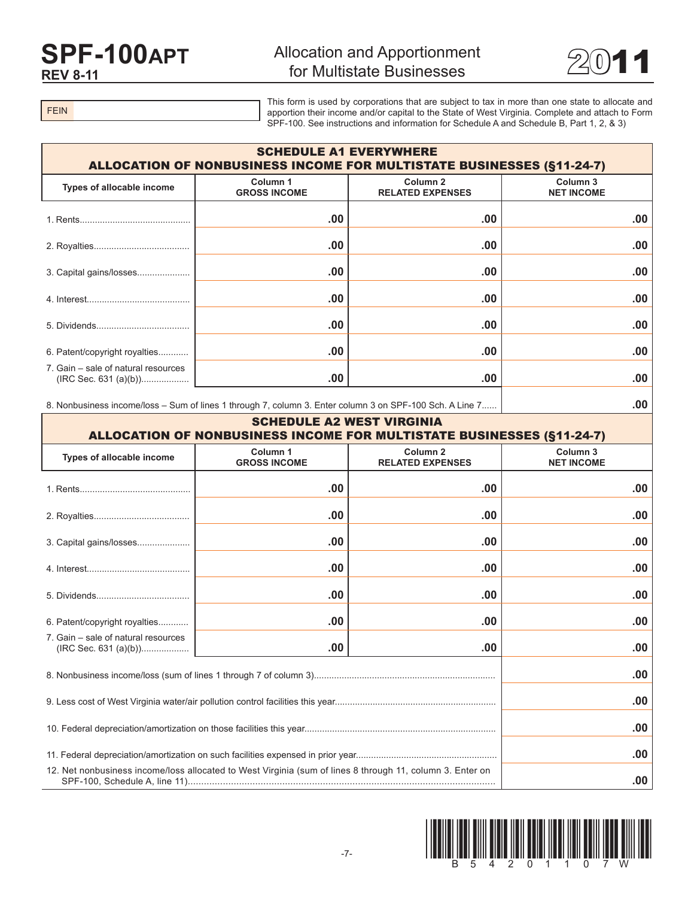**REV 8-11 SPF-100APT** 



FEIN

This form is used by corporations that are subject to tax in more than one state to allocate and apportion their income and/or capital to the State of West Virginia. Complete and attach to Form SPF-100. See instructions and information for Schedule A and Schedule B, Part 1, 2, & 3)

| <b>SCHEDULE A1 EVERYWHERE</b><br><b>ALLOCATION OF NONBUSINESS INCOME FOR MULTISTATE BUSINESSES (§11-24-7)</b> |                                 |                                                |                                          |  |  |  |
|---------------------------------------------------------------------------------------------------------------|---------------------------------|------------------------------------------------|------------------------------------------|--|--|--|
| Types of allocable income                                                                                     | Column 1<br><b>GROSS INCOME</b> | Column <sub>2</sub><br><b>RELATED EXPENSES</b> | Column <sub>3</sub><br><b>NET INCOME</b> |  |  |  |
|                                                                                                               | .00                             | .00                                            | .00                                      |  |  |  |
|                                                                                                               | .00                             | .00                                            | .00                                      |  |  |  |
| 3. Capital gains/losses                                                                                       | .00                             | .00                                            | .00                                      |  |  |  |
|                                                                                                               | .00                             | .00                                            | .00                                      |  |  |  |
|                                                                                                               | .00                             | .00                                            | .00                                      |  |  |  |
| 6. Patent/copyright royalties                                                                                 | .00                             | .00                                            | .00                                      |  |  |  |
| 7. Gain – sale of natural resources                                                                           | .00                             | .00                                            | .00                                      |  |  |  |

8. Nonbusiness income/loss – Sum of lines 1 through 7, column 3. Enter column 3 on SPF-100 Sch. A Line 7...... **.00**

| <b>SCHEDULE A2 WEST VIRGINIA</b><br><b>ALLOCATION OF NONBUSINESS INCOME FOR MULTISTATE BUSINESSES (§11-24-7)</b> |                                            |                                                |                                          |  |  |  |
|------------------------------------------------------------------------------------------------------------------|--------------------------------------------|------------------------------------------------|------------------------------------------|--|--|--|
| Types of allocable income                                                                                        | Column <sub>1</sub><br><b>GROSS INCOME</b> | Column <sub>2</sub><br><b>RELATED EXPENSES</b> | Column <sub>3</sub><br><b>NET INCOME</b> |  |  |  |
|                                                                                                                  | .00                                        | .00                                            | .00                                      |  |  |  |
|                                                                                                                  | .00                                        | .00                                            | .00                                      |  |  |  |
| 3. Capital gains/losses                                                                                          | .00                                        | .00                                            | .00                                      |  |  |  |
|                                                                                                                  | .00                                        | .00                                            | .00                                      |  |  |  |
|                                                                                                                  | .00                                        | .00                                            | .00                                      |  |  |  |
| 6. Patent/copyright royalties                                                                                    | .00                                        | .00                                            | .00                                      |  |  |  |
| 7. Gain – sale of natural resources<br>$(IRC Sec. 631 (a)(b))$                                                   | .00                                        | .00                                            | .00                                      |  |  |  |
| .00                                                                                                              |                                            |                                                |                                          |  |  |  |
| .00                                                                                                              |                                            |                                                |                                          |  |  |  |
|                                                                                                                  |                                            |                                                |                                          |  |  |  |
|                                                                                                                  |                                            |                                                |                                          |  |  |  |
| 12. Net nonbusiness income/loss allocated to West Virginia (sum of lines 8 through 11, column 3. Enter on<br>.00 |                                            |                                                |                                          |  |  |  |

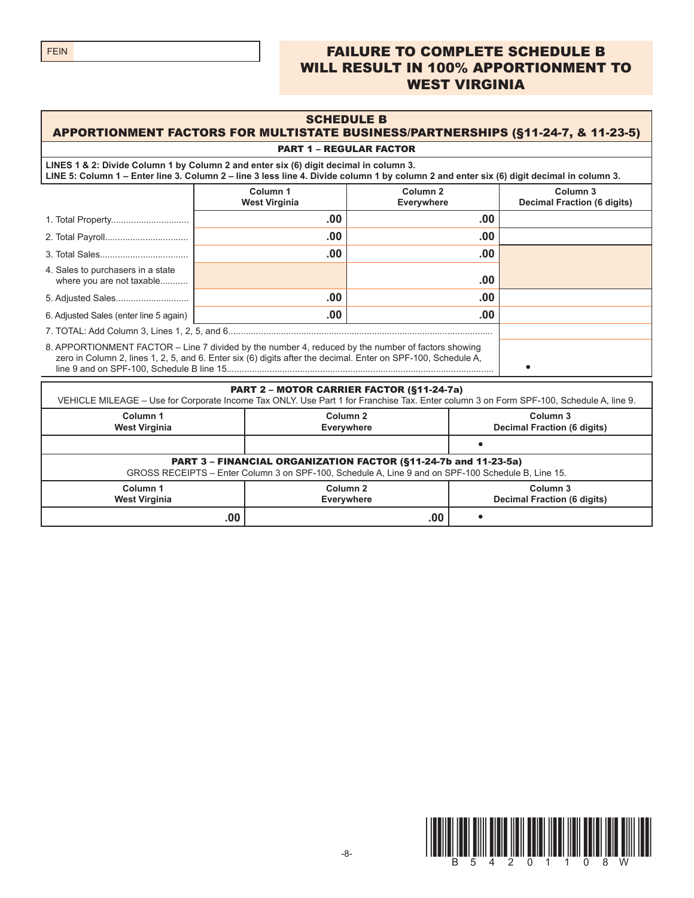#### FAILURE TO COMPLETE SCHEDULE B WILL RESULT IN 100% APPORTIONMENT TO WEST VIRGINIA

| <b>SCHEDULE B</b><br>APPORTIONMENT FACTORS FOR MULTISTATE BUSINESS/PARTNERSHIPS (§11-24-7, & 11-23-5)                                                                                                                             |                                                                                                                                                                       |                                   |                                                           |                                                           |  |  |
|-----------------------------------------------------------------------------------------------------------------------------------------------------------------------------------------------------------------------------------|-----------------------------------------------------------------------------------------------------------------------------------------------------------------------|-----------------------------------|-----------------------------------------------------------|-----------------------------------------------------------|--|--|
|                                                                                                                                                                                                                                   |                                                                                                                                                                       | <b>PART 1 - REGULAR FACTOR</b>    |                                                           |                                                           |  |  |
| LINES 1 & 2: Divide Column 1 by Column 2 and enter six (6) digit decimal in column 3.<br>LINE 5: Column 1 - Enter line 3. Column 2 - line 3 less line 4. Divide column 1 by column 2 and enter six (6) digit decimal in column 3. |                                                                                                                                                                       |                                   |                                                           |                                                           |  |  |
|                                                                                                                                                                                                                                   | Column <sub>1</sub><br><b>West Virginia</b>                                                                                                                           | Column <sub>2</sub><br>Everywhere |                                                           | Column <sub>3</sub><br><b>Decimal Fraction (6 digits)</b> |  |  |
|                                                                                                                                                                                                                                   | .00                                                                                                                                                                   |                                   | .00                                                       |                                                           |  |  |
| 2. Total Payroll                                                                                                                                                                                                                  | .00                                                                                                                                                                   |                                   | .00                                                       |                                                           |  |  |
|                                                                                                                                                                                                                                   | .00                                                                                                                                                                   |                                   | .00                                                       |                                                           |  |  |
| 4. Sales to purchasers in a state<br>where you are not taxable                                                                                                                                                                    |                                                                                                                                                                       |                                   | .00                                                       |                                                           |  |  |
| 5. Adjusted Sales                                                                                                                                                                                                                 | .00                                                                                                                                                                   |                                   | .00                                                       |                                                           |  |  |
| .00.<br>.00<br>6. Adjusted Sales (enter line 5 again)                                                                                                                                                                             |                                                                                                                                                                       |                                   |                                                           |                                                           |  |  |
|                                                                                                                                                                                                                                   |                                                                                                                                                                       |                                   |                                                           |                                                           |  |  |
| 8. APPORTIONMENT FACTOR – Line 7 divided by the number 4, reduced by the number of factors showing<br>zero in Column 2, lines 1, 2, 5, and 6. Enter six (6) digits after the decimal. Enter on SPF-100, Schedule A,<br>٠          |                                                                                                                                                                       |                                   |                                                           |                                                           |  |  |
| PART 2 - MOTOR CARRIER FACTOR (§11-24-7a)<br>VEHICLE MILEAGE - Use for Corporate Income Tax ONLY. Use Part 1 for Franchise Tax. Enter column 3 on Form SPF-100, Schedule A, line 9.                                               |                                                                                                                                                                       |                                   |                                                           |                                                           |  |  |
| Column 1<br>Column <sub>2</sub><br><b>West Virginia</b><br>Everywhere                                                                                                                                                             |                                                                                                                                                                       |                                   | Column <sub>3</sub><br><b>Decimal Fraction (6 digits)</b> |                                                           |  |  |
| ٠                                                                                                                                                                                                                                 |                                                                                                                                                                       |                                   |                                                           |                                                           |  |  |
|                                                                                                                                                                                                                                   | PART 3 - FINANCIAL ORGANIZATION FACTOR (§11-24-7b and 11-23-5a)<br>GROSS RECEIPTS - Enter Column 3 on SPF-100, Schedule A, Line 9 and on SPF-100 Schedule B, Line 15. |                                   |                                                           |                                                           |  |  |
| Column 1                                                                                                                                                                                                                          |                                                                                                                                                                       | Column <sub>2</sub>               |                                                           | Column <sub>3</sub>                                       |  |  |
| <b>West Virginia</b>                                                                                                                                                                                                              |                                                                                                                                                                       | Everywhere                        |                                                           | <b>Decimal Fraction (6 digits)</b>                        |  |  |
|                                                                                                                                                                                                                                   | .00                                                                                                                                                                   | .00                               | ٠                                                         |                                                           |  |  |

-8-



FEIN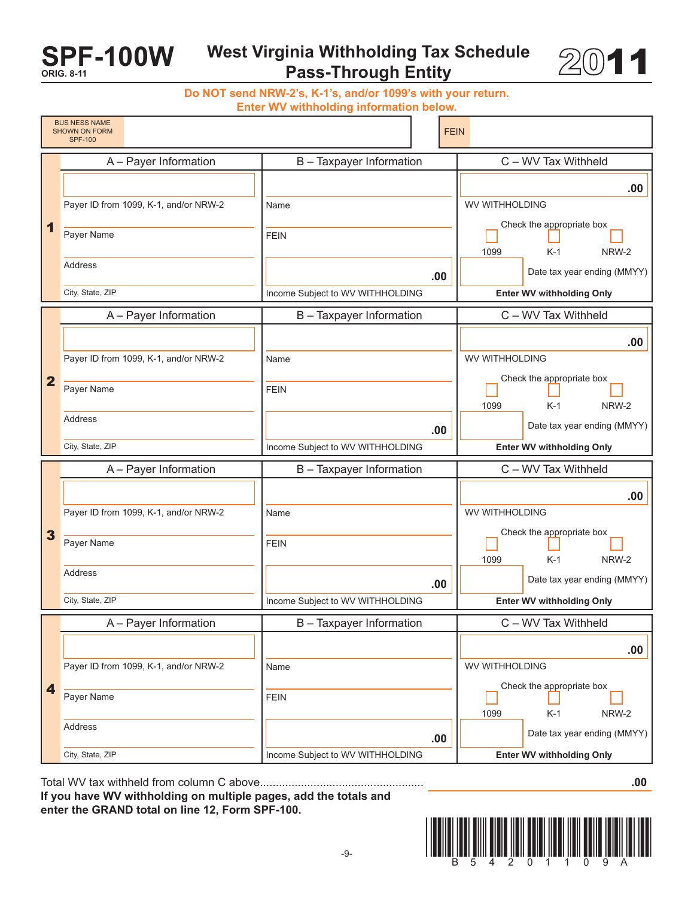

# West Virginia Withholding Tax Schedule<br>Pass-Through Entity 11



**Do NOT send NRW-2's, K-1's, and/or 1099's with your return. Enter WV withholding information below.**

|                         | <b>BUS NESS NAME</b><br><b>SHOWN ON FORM</b><br><b>SPF-100</b> | <b>FEIN</b>                      |                                                     |
|-------------------------|----------------------------------------------------------------|----------------------------------|-----------------------------------------------------|
|                         | A - Payer Information                                          | B - Taxpayer Information         | C - WV Tax Withheld                                 |
|                         |                                                                |                                  | .00                                                 |
|                         | Payer ID from 1099, K-1, and/or NRW-2                          | Name                             | WV WITHHOLDING                                      |
| 1                       | Payer Name                                                     | <b>FEIN</b>                      | Check the appropriate box<br>1099<br>$K-1$<br>NRW-2 |
|                         | Address                                                        | .00                              | Date tax year ending (MMYY)                         |
|                         | City, State, ZIP                                               | Income Subject to WV WITHHOLDING | <b>Enter WV withholding Only</b>                    |
|                         | A - Payer Information                                          | B - Taxpayer Information         | C - WV Tax Withheld                                 |
|                         |                                                                |                                  | .00                                                 |
|                         | Payer ID from 1099, K-1, and/or NRW-2                          | Name                             | WV WITHHOLDING                                      |
| $\overline{\mathbf{2}}$ | Payer Name                                                     |                                  | Check the appropriate box                           |
|                         |                                                                | <b>FEIN</b>                      | 1099<br>$K-1$<br>NRW-2                              |
|                         | Address                                                        | .00                              | Date tax year ending (MMYY)                         |
|                         | City, State, ZIP                                               | Income Subject to WV WITHHOLDING | <b>Enter WV withholding Only</b>                    |
|                         | A - Payer Information                                          | B - Taxpayer Information         | C - WV Tax Withheld                                 |
|                         |                                                                |                                  | .00                                                 |
|                         | Payer ID from 1099, K-1, and/or NRW-2                          | Name                             | WV WITHHOLDING                                      |
| 3                       | Payer Name                                                     | <b>FEIN</b>                      | Check the appropriate box                           |
|                         |                                                                |                                  | 1099<br>$K-1$<br>NRW-2                              |
|                         | Address                                                        | .00                              | Date tax year ending (MMYY)                         |
|                         |                                                                |                                  |                                                     |
|                         | City, State, ZIP                                               | Income Subject to WV WITHHOLDING | <b>Enter WV withholding Only</b>                    |
|                         | A - Payer Information                                          | B - Taxpayer Information         | C - WV Tax Withheld                                 |
|                         |                                                                |                                  | .00.                                                |
|                         | Payer ID from 1099, K-1, and/or NRW-2                          | Name                             | WV WITHHOLDING                                      |
| $\overline{\mathbf{4}}$ | Payer Name                                                     | <b>FEIN</b>                      | Check the appropriate box<br>1099<br>$K-1$<br>NRW-2 |
|                         | Address                                                        | .00                              | Date tax year ending (MMYY)                         |

Total WV tax withheld from column C above.................................................... **.00**

**If you have WV withholding on multiple pages, add the totals and enter the GRAND total on line 12, Form SPF-100.**

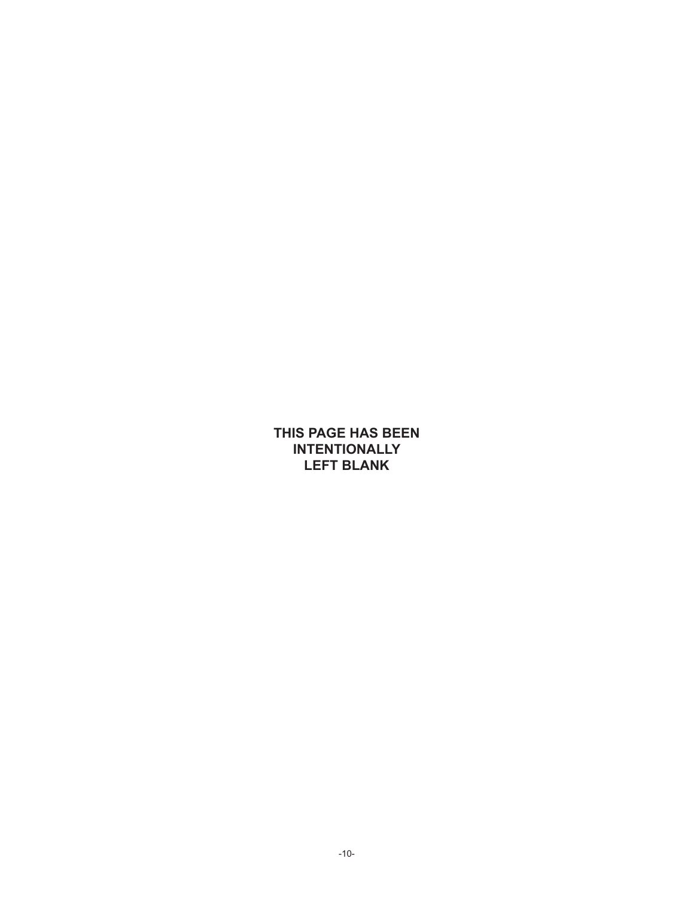#### **THIS PAGE HAS BEEN INTENTIONALLY LEFT BLANK**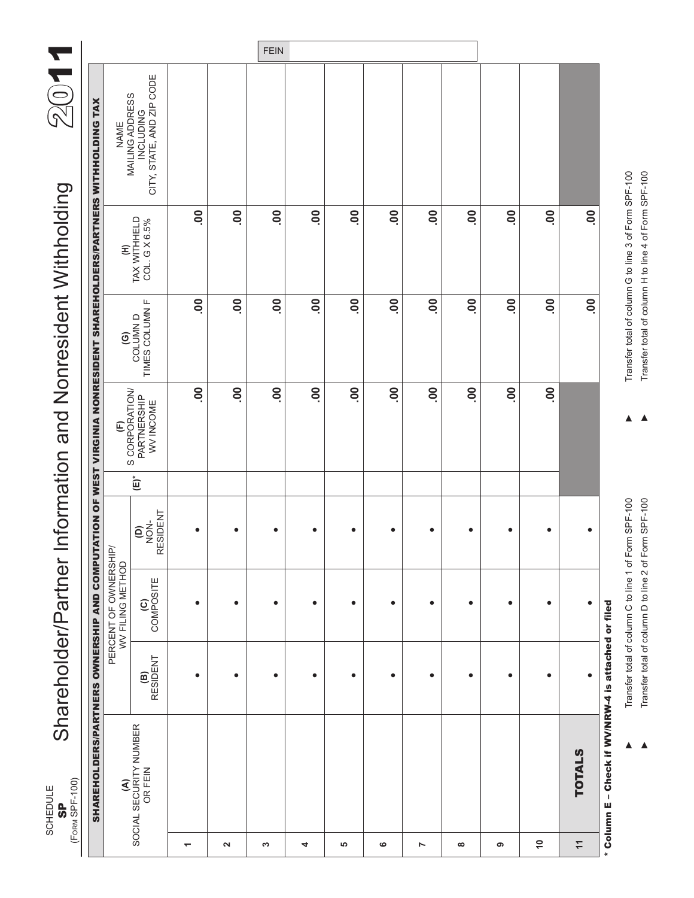SCHEDULE<br>SP<br>(F<sub>ORM</sub> SPF-100)

Shareholder/Partner Information and Nonresident Withholding  $20$ <sup>11</sup> Shareholder/Partner Information and Nonresident Withholding

|                          | $($ Forw SPF-100 $)$                                |                      |                                           |                         |                            |                          |                                   |                               |                                                                                                                    |             |
|--------------------------|-----------------------------------------------------|----------------------|-------------------------------------------|-------------------------|----------------------------|--------------------------|-----------------------------------|-------------------------------|--------------------------------------------------------------------------------------------------------------------|-------------|
|                          |                                                     |                      |                                           |                         |                            |                          |                                   |                               | SHAREHOLDERS/PARTNERS OWNERSHIP AND COMPUTATION OF WEST VIRGINIA NONRESIDENT SHAREHOLDERS/PARTNERS WITHHOLDING TAX |             |
|                          |                                                     |                      | PERCENT OF OWNERSHIP/<br>WV FILING METHOD |                         |                            | (F)<br>S CORPORATION/    |                                   | E                             | NAILING ADDRESS<br>MAILING ADDRESS                                                                                 |             |
|                          | (A)<br>SOCIAL SECURITY NUMBER<br>OR FEIN            | <b>RESIDENT</b><br>@ | COMPOSITE                                 | (D)<br>NON-<br>RESIDENT | $\stackrel{*}{\mathbf{E}}$ | PARTNERSHIP<br>WV INCOME | (G)<br>COLUMN D<br>TIMES COLUMN F | TAX WITHHELD<br>COL. G X 6.5% | CITY, STATE, AND ZIP CODE<br>INCLUDING                                                                             |             |
| $\overline{\phantom{0}}$ |                                                     | $\bullet$            | $\bullet$                                 | $\bullet$               |                            | OO.                      | 00.                               | OO.                           |                                                                                                                    |             |
| $\boldsymbol{\sim}$      |                                                     | $\bullet$            | $\bullet$                                 | $\bullet$               |                            | $\overline{0}$           | 00                                | 8.                            |                                                                                                                    |             |
| S                        |                                                     | $\bullet$            | $\bullet$                                 |                         |                            | $\overline{0}$           | $\overline{0}$                    | $\overline{0}$                |                                                                                                                    | <b>FEIN</b> |
| 4                        |                                                     | $\bullet$            | $\bullet$                                 |                         |                            | $00$ .                   | 00                                | $00$ .                        |                                                                                                                    |             |
| LO.                      |                                                     | $\bullet$            | $\bullet$                                 |                         |                            | OO.                      | 00                                | OO.                           |                                                                                                                    |             |
| ဖ                        |                                                     | $\bullet$            | $\bullet$                                 | ٠                       |                            | 00                       | $\overline{0}$                    | $\overline{0}$                |                                                                                                                    |             |
| N                        |                                                     | $\bullet$            | $\bullet$                                 |                         |                            | 00.                      | 00                                | 00                            |                                                                                                                    |             |
| $\infty$                 |                                                     | $\bullet$            | $\bullet$                                 | $\bullet$               |                            | OO.                      | $\overline{0}$                    | OO.                           |                                                                                                                    |             |
| ၈                        |                                                     | $\bullet$            | $\bullet$                                 |                         |                            | <b>S</b>                 | $\overline{0}$                    | 00                            |                                                                                                                    |             |
| $\tilde{=}$              |                                                     | $\bullet$            | $\bullet$                                 |                         |                            | OO.                      | 00                                | 00.                           |                                                                                                                    |             |
| $\overline{r}$           | <b>TOTALS</b>                                       | $\bullet$            | $\bullet$                                 | ٠                       |                            |                          | $\overline{0}$                    | OO.                           |                                                                                                                    |             |
|                          | * Column E - Check if WV/NRW-4 is attached or filed |                      |                                           |                         |                            |                          |                                   |                               |                                                                                                                    |             |

Transfer total of column H to line 4 of Form SPF-100 Transfer total of column G to line 3 of Form SPF-100 **Transfer total of column G to line 3 of Form SPF-100 Transfer total of column H to line 4 of Form SPF-100** 

►►

Transfer total of column C to line 1 of Form SPF-100 Transfer total of column D to line 2 of Form SPF-100 **Transfer total of column C to line 1 of Form SPF-100 Transfer total of column D to line 2 of Form SPF-100** 

►

►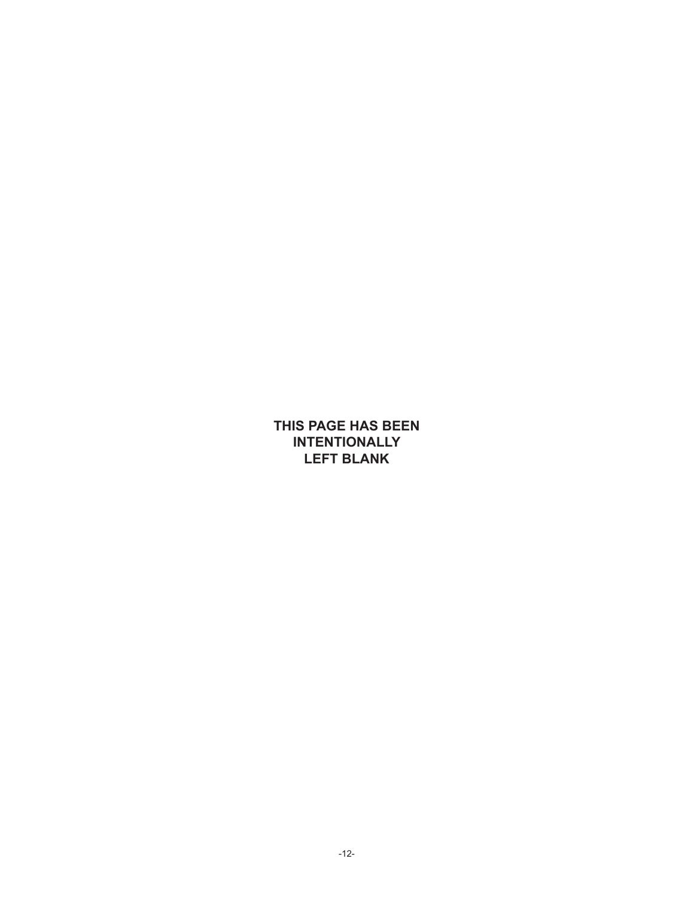#### **THIS PAGE HAS BEEN INTENTIONALLY LEFT BLANK**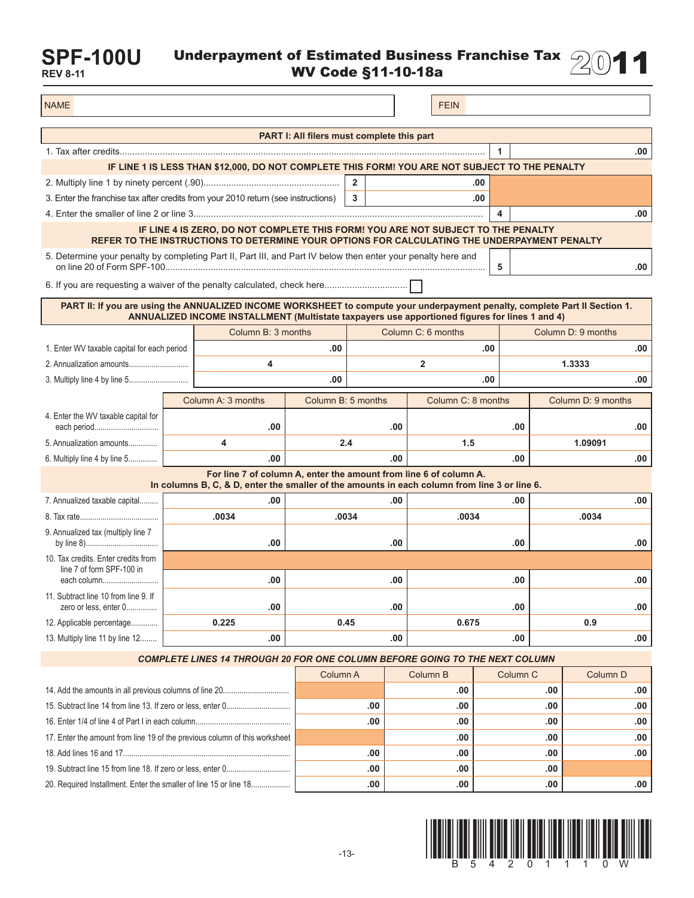# **SPF-100U** Underpayment of Estimated Business Franchise Tax  $\frac{2011}{1}$

| <b>NAME</b>                                                                                                   |                                                                                                                                                                                                                               |                                                                                                                                                                                  |                                            |                       |     | <b>FEIN</b>        |     |              |     |                    |      |
|---------------------------------------------------------------------------------------------------------------|-------------------------------------------------------------------------------------------------------------------------------------------------------------------------------------------------------------------------------|----------------------------------------------------------------------------------------------------------------------------------------------------------------------------------|--------------------------------------------|-----------------------|-----|--------------------|-----|--------------|-----|--------------------|------|
|                                                                                                               |                                                                                                                                                                                                                               |                                                                                                                                                                                  |                                            |                       |     |                    |     |              |     |                    |      |
|                                                                                                               |                                                                                                                                                                                                                               |                                                                                                                                                                                  | PART I: All filers must complete this part |                       |     |                    |     |              |     |                    |      |
|                                                                                                               |                                                                                                                                                                                                                               |                                                                                                                                                                                  |                                            |                       |     |                    |     | $\mathbf{1}$ |     |                    | .00  |
|                                                                                                               |                                                                                                                                                                                                                               | IF LINE 1 IS LESS THAN \$12,000, DO NOT COMPLETE THIS FORM! YOU ARE NOT SUBJECT TO THE PENALTY                                                                                   |                                            |                       |     |                    |     |              |     |                    |      |
|                                                                                                               |                                                                                                                                                                                                                               |                                                                                                                                                                                  |                                            | $\overline{2}$        |     |                    | .00 |              |     |                    |      |
| 3. Enter the franchise tax after credits from your 2010 return (see instructions)                             |                                                                                                                                                                                                                               |                                                                                                                                                                                  |                                            | 3                     |     |                    | .00 |              |     |                    |      |
|                                                                                                               |                                                                                                                                                                                                                               |                                                                                                                                                                                  |                                            |                       |     |                    |     | 4            |     |                    | .00  |
|                                                                                                               |                                                                                                                                                                                                                               | IF LINE 4 IS ZERO, DO NOT COMPLETE THIS FORM! YOU ARE NOT SUBJECT TO THE PENALTY<br>REFER TO THE INSTRUCTIONS TO DETERMINE YOUR OPTIONS FOR CALCULATING THE UNDERPAYMENT PENALTY |                                            |                       |     |                    |     |              |     |                    |      |
| 5. Determine your penalty by completing Part II, Part III, and Part IV below then enter your penalty here and |                                                                                                                                                                                                                               |                                                                                                                                                                                  |                                            |                       |     |                    |     | 5            |     |                    | .00  |
|                                                                                                               |                                                                                                                                                                                                                               |                                                                                                                                                                                  |                                            |                       |     |                    |     |              |     |                    |      |
|                                                                                                               | PART II: If you are using the ANNUALIZED INCOME WORKSHEET to compute your underpayment penalty, complete Part II Section 1.<br>ANNUALIZED INCOME INSTALLMENT (Multistate taxpayers use apportioned figures for lines 1 and 4) |                                                                                                                                                                                  |                                            |                       |     |                    |     |              |     |                    |      |
| Column B: 3 months<br>Column C: 6 months<br>Column D: 9 months                                                |                                                                                                                                                                                                                               |                                                                                                                                                                                  |                                            |                       |     |                    |     |              |     |                    |      |
| 1. Enter WV taxable capital for each period                                                                   |                                                                                                                                                                                                                               |                                                                                                                                                                                  | .00                                        |                       |     |                    | .00 |              |     |                    | .00  |
|                                                                                                               |                                                                                                                                                                                                                               | 4                                                                                                                                                                                |                                            |                       |     |                    |     |              |     | 1.3333             |      |
|                                                                                                               |                                                                                                                                                                                                                               |                                                                                                                                                                                  |                                            | $\overline{2}$<br>.00 |     | .00                |     |              |     | .00                |      |
|                                                                                                               |                                                                                                                                                                                                                               |                                                                                                                                                                                  |                                            |                       |     |                    |     |              |     |                    |      |
|                                                                                                               |                                                                                                                                                                                                                               | Column A: 3 months                                                                                                                                                               | Column B: 5 months                         |                       |     | Column C: 8 months |     |              |     | Column D: 9 months |      |
| 4. Enter the WV taxable capital for                                                                           |                                                                                                                                                                                                                               | .00                                                                                                                                                                              |                                            |                       | .00 |                    |     | .00          |     |                    | .00  |
| 5. Annualization amounts                                                                                      |                                                                                                                                                                                                                               | 4                                                                                                                                                                                |                                            | 2.4                   |     | 1.5                |     |              |     | 1.09091            |      |
| 6. Multiply line 4 by line 5                                                                                  |                                                                                                                                                                                                                               | .00                                                                                                                                                                              |                                            |                       | .00 |                    |     | .00          |     |                    | .00  |
|                                                                                                               |                                                                                                                                                                                                                               | For line 7 of column A, enter the amount from line 6 of column A.<br>In columns B, C, & D, enter the smaller of the amounts in each column from line 3 or line 6.                |                                            |                       |     |                    |     |              |     |                    |      |
| 7. Annualized taxable capital                                                                                 |                                                                                                                                                                                                                               | .00                                                                                                                                                                              |                                            |                       | .00 |                    |     | .00          |     |                    | .00  |
|                                                                                                               |                                                                                                                                                                                                                               | .0034                                                                                                                                                                            |                                            | .0034                 |     | .0034              |     |              |     | .0034              |      |
| 9. Annualized tax (multiply line 7                                                                            |                                                                                                                                                                                                                               | .00                                                                                                                                                                              |                                            |                       | .00 |                    |     | .00          |     |                    | .00  |
| 10. Tax credits. Enter credits from                                                                           |                                                                                                                                                                                                                               |                                                                                                                                                                                  |                                            |                       |     |                    |     |              |     |                    |      |
| line 7 of form SPF-100 in                                                                                     |                                                                                                                                                                                                                               |                                                                                                                                                                                  |                                            |                       |     |                    |     |              |     |                    |      |
| each column                                                                                                   |                                                                                                                                                                                                                               | .00                                                                                                                                                                              |                                            |                       | .00 |                    |     | .00          |     |                    | .00  |
| 11. Subtract line 10 from line 9. If<br>zero or less, enter 0                                                 |                                                                                                                                                                                                                               | .00                                                                                                                                                                              |                                            |                       | .00 |                    |     | .00          |     |                    | .00. |
| 12. Applicable percentage                                                                                     |                                                                                                                                                                                                                               | 0.225                                                                                                                                                                            |                                            | 0.45<br>0.675         |     |                    |     |              | 0.9 |                    |      |
| 13. Multiply line 11 by line 12                                                                               |                                                                                                                                                                                                                               | .00                                                                                                                                                                              |                                            |                       | .00 |                    |     | .00          |     |                    | .00  |
| COMPLETE LINES 14 THROUGH 20 FOR ONE COLUMN BEFORE GOING TO THE NEXT COLUMN                                   |                                                                                                                                                                                                                               |                                                                                                                                                                                  |                                            |                       |     |                    |     |              |     |                    |      |
|                                                                                                               |                                                                                                                                                                                                                               |                                                                                                                                                                                  | Column A                                   |                       |     | Column B           |     | Column C     |     | Column D           |      |
|                                                                                                               |                                                                                                                                                                                                                               |                                                                                                                                                                                  |                                            |                       |     | .00                |     |              | .00 |                    | .00  |
|                                                                                                               |                                                                                                                                                                                                                               |                                                                                                                                                                                  |                                            |                       | .00 | .00                |     |              | .00 |                    | .00  |
|                                                                                                               |                                                                                                                                                                                                                               |                                                                                                                                                                                  |                                            |                       | .00 | .00                |     |              | .00 |                    | .00  |
| 17. Enter the amount from line 19 of the previous column of this worksheet                                    |                                                                                                                                                                                                                               |                                                                                                                                                                                  |                                            |                       |     | .00                |     |              | .00 |                    | .00  |
|                                                                                                               |                                                                                                                                                                                                                               |                                                                                                                                                                                  |                                            |                       | .00 | .00                |     |              | .00 |                    | .00  |
|                                                                                                               |                                                                                                                                                                                                                               |                                                                                                                                                                                  |                                            |                       | .00 | .00                |     |              | .00 |                    |      |
| 20. Required Installment. Enter the smaller of line 15 or line 18                                             |                                                                                                                                                                                                                               |                                                                                                                                                                                  |                                            |                       | .00 | .00                |     |              | .00 |                    | .00  |

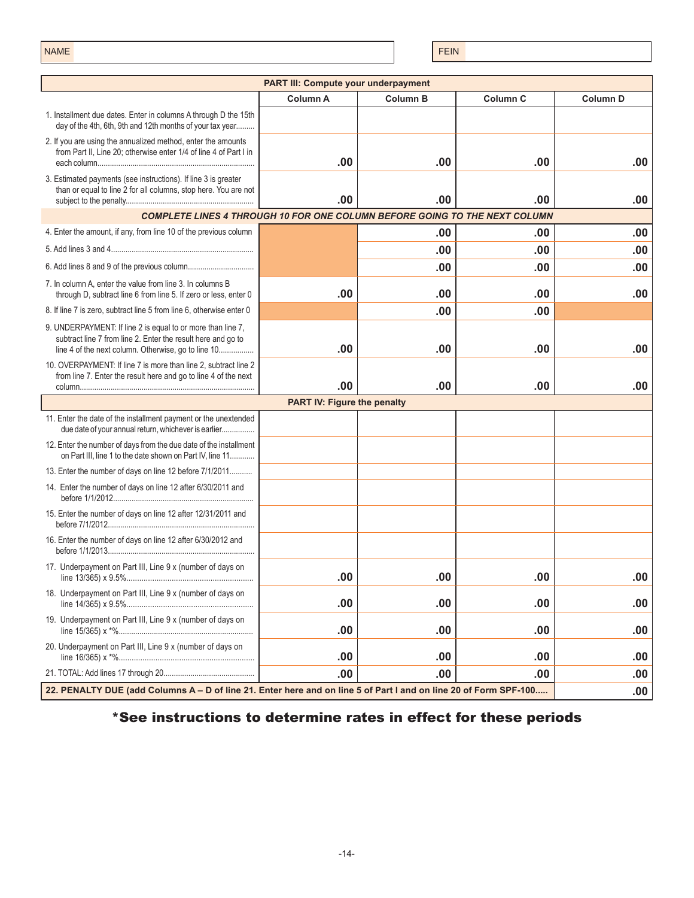NAME FEIN

| <b>PART III: Compute your underpayment</b>                                                                                                                                         |                             |                 |          |                 |  |  |
|------------------------------------------------------------------------------------------------------------------------------------------------------------------------------------|-----------------------------|-----------------|----------|-----------------|--|--|
|                                                                                                                                                                                    | <b>Column A</b>             | <b>Column B</b> | Column C | <b>Column D</b> |  |  |
| 1. Installment due dates. Enter in columns A through D the 15th<br>day of the 4th, 6th, 9th and 12th months of your tax year                                                       |                             |                 |          |                 |  |  |
| 2. If you are using the annualized method, enter the amounts<br>from Part II, Line 20; otherwise enter 1/4 of line 4 of Part I in                                                  | .00                         | .00             | .00      | .00             |  |  |
| 3. Estimated payments (see instructions). If line 3 is greater<br>than or equal to line 2 for all columns, stop here. You are not                                                  | .00                         | .00             | .00      | .00             |  |  |
| <b>COMPLETE LINES 4 THROUGH 10 FOR ONE COLUMN BEFORE GOING TO THE NEXT COLUMN</b>                                                                                                  |                             |                 |          |                 |  |  |
| 4. Enter the amount, if any, from line 10 of the previous column                                                                                                                   |                             | .00             | .00      | .00             |  |  |
|                                                                                                                                                                                    |                             | .00             | .00      | .00             |  |  |
|                                                                                                                                                                                    |                             | .00             | .00      | .00             |  |  |
| 7. In column A, enter the value from line 3. In columns B<br>through D, subtract line 6 from line 5. If zero or less, enter 0                                                      | .00                         | .00             | .00      | .00             |  |  |
| 8. If line 7 is zero, subtract line 5 from line 6, otherwise enter 0                                                                                                               |                             | .00             | .00      |                 |  |  |
| 9. UNDERPAYMENT: If line 2 is equal to or more than line 7,<br>subtract line 7 from line 2. Enter the result here and go to<br>line 4 of the next column. Otherwise, go to line 10 | .00                         | .00             | .00      | .00             |  |  |
| 10. OVERPAYMENT: If line 7 is more than line 2, subtract line 2<br>from line 7. Enter the result here and go to line 4 of the next                                                 | .00                         | .00             | .00      | .00             |  |  |
|                                                                                                                                                                                    | PART IV: Figure the penalty |                 |          |                 |  |  |
| 11. Enter the date of the installment payment or the unextended<br>due date of your annual return, whichever is earlier                                                            |                             |                 |          |                 |  |  |
| 12. Enter the number of days from the due date of the installment<br>on Part III, line 1 to the date shown on Part IV, line 11                                                     |                             |                 |          |                 |  |  |
| 13. Enter the number of days on line 12 before 7/1/2011                                                                                                                            |                             |                 |          |                 |  |  |
| 14. Enter the number of days on line 12 after 6/30/2011 and                                                                                                                        |                             |                 |          |                 |  |  |
| 15. Enter the number of days on line 12 after 12/31/2011 and                                                                                                                       |                             |                 |          |                 |  |  |
| 16. Enter the number of days on line 12 after 6/30/2012 and                                                                                                                        |                             |                 |          |                 |  |  |
| 17. Underpayment on Part III, Line 9 x (number of days on                                                                                                                          | .00                         | .00             | .00      | .00             |  |  |
| 18. Underpayment on Part III, Line 9 x (number of days on                                                                                                                          | .00                         | .00             | .00      | .00             |  |  |
| 19. Underpayment on Part III, Line 9 x (number of days on                                                                                                                          | .00                         | .00             | .00      | .00             |  |  |
| 20. Underpayment on Part III, Line 9 x (number of days on                                                                                                                          | .00                         | .00             | .00      | .00             |  |  |
|                                                                                                                                                                                    | .00                         | .00             | .00      | .00             |  |  |
| 22. PENALTY DUE (add Columns A - D of line 21. Enter here and on line 5 of Part I and on line 20 of Form SPF-100                                                                   |                             |                 |          | .00             |  |  |

### \*See instructions to determine rates in effect for these periods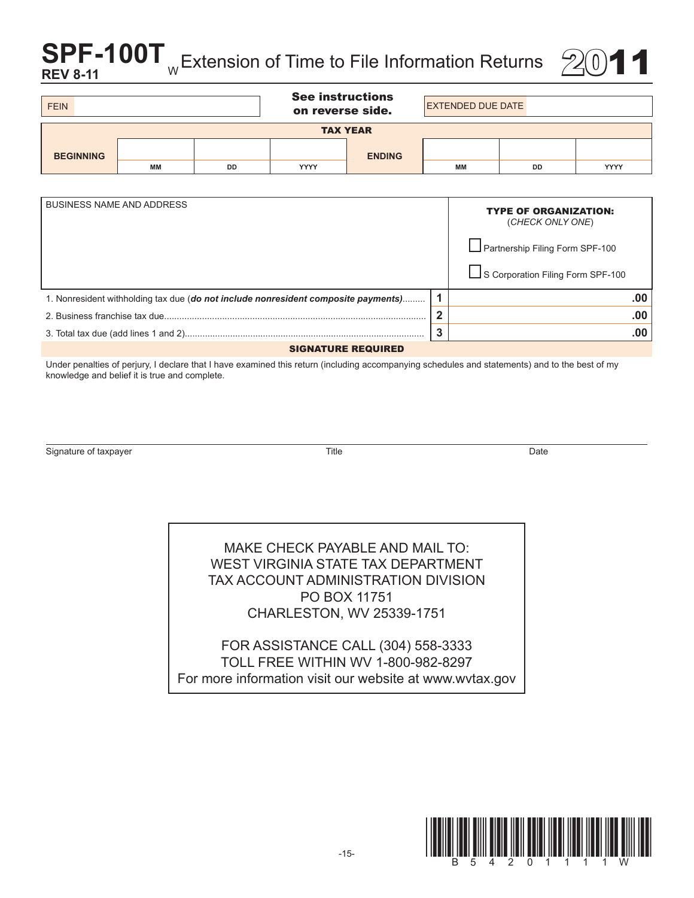# **SPF-100T SPF-100 I**  $_{\text{w}}$  Extension of Time to File Information Returns  $2011$



| <b>FEIN</b>      |    |    | <b>See instructions</b><br>on reverse side. |               | <b>EXTENDED DUE DATE</b> |    |             |  |
|------------------|----|----|---------------------------------------------|---------------|--------------------------|----|-------------|--|
| <b>TAX YEAR</b>  |    |    |                                             |               |                          |    |             |  |
| <b>BEGINNING</b> |    |    |                                             | <b>ENDING</b> |                          |    |             |  |
|                  | MМ | DD | <b>YYYY</b>                                 |               | MМ                       | DD | <b>YYYY</b> |  |

| <b>BUSINESS NAME AND ADDRESS</b>                                                   |   | <b>TYPE OF ORGANIZATION:</b><br>(CHECK ONLY ONE) |
|------------------------------------------------------------------------------------|---|--------------------------------------------------|
|                                                                                    |   | $\Box$ Partnership Filing Form SPF-100           |
|                                                                                    |   | $\Box$ S Corporation Filing Form SPF-100         |
| 1. Nonresident withholding tax due (do not include nonresident composite payments) |   | .00                                              |
|                                                                                    | n | .00                                              |
|                                                                                    | ຳ | .00                                              |
| <b>SIGNATURE REQUIRED</b>                                                          |   |                                                  |

Under penalties of perjury, I declare that I have examined this return (including accompanying schedules and statements) and to the best of my knowledge and belief it is true and complete.

Signature of taxpayer and the state of the Date of taxpayer and the Date of taxpayer and the Date of the Date of the Date of the Date of the Date of the Date of the Date of the Date of the Date of the Date of the Date of t

#### MAKE CHECK PAYABLE AND MAIL TO: WEST VIRGINIA STATE TAX DEPARTMENT TAX ACCOUNT ADMINISTRATION DIVISION PO BOX 11751 CHARLESTON, WV 25339-1751

FOR ASSISTANCE CALL (304) 558-3333 TOLL FREE WITHIN WV 1-800-982-8297 For more information visit our website at www.wvtax.gov

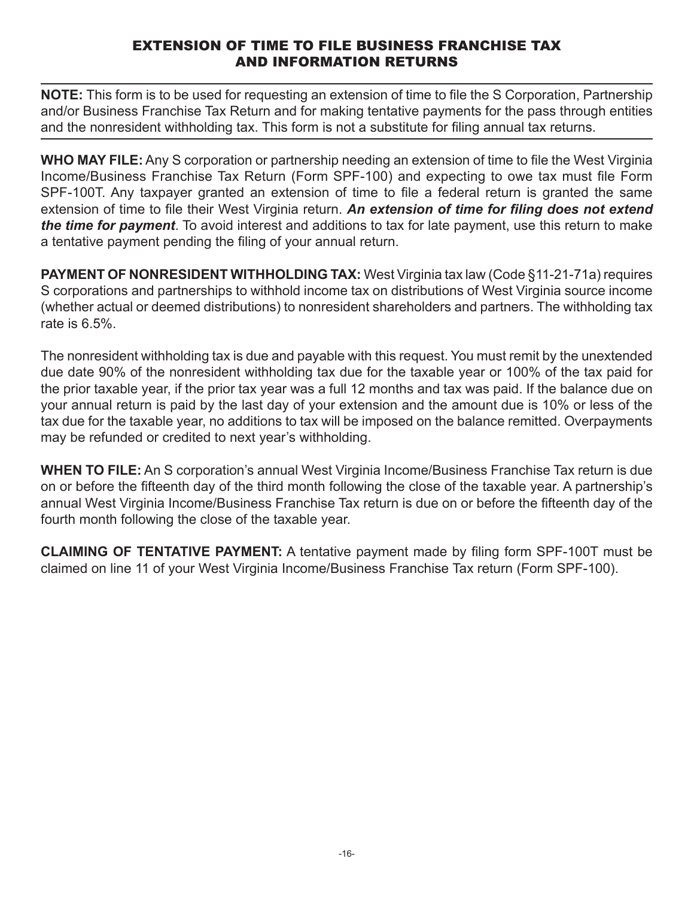#### EXTENSION OF TIME TO FILE BUSINESS FRANCHISE TAX AND INFORMATION RETURNS

**NOTE:** This form is to be used for requesting an extension of time to file the S Corporation, Partnership and/or Business Franchise Tax Return and for making tentative payments for the pass through entities and the nonresident withholding tax. This form is not a substitute for filing annual tax returns.

**WHO MAY FILE:** Any S corporation or partnership needing an extension of time to file the West Virginia Income/Business Franchise Tax Return (Form SPF-100) and expecting to owe tax must file Form SPF-100T. Any taxpayer granted an extension of time to file a federal return is granted the same extension of time to file their West Virginia return. *An extension of time for filing does not extend the time for payment*. To avoid interest and additions to tax for late payment, use this return to make a tentative payment pending the filing of your annual return.

**PAYMENT OF NONRESIDENT WITHHOLDING TAX:** West Virginia tax law (Code §11-21-71a) requires S corporations and partnerships to withhold income tax on distributions of West Virginia source income (whether actual or deemed distributions) to nonresident shareholders and partners. The withholding tax rate is 6.5%.

The nonresident withholding tax is due and payable with this request. You must remit by the unextended due date 90% of the nonresident withholding tax due for the taxable year or 100% of the tax paid for the prior taxable year, if the prior tax year was a full 12 months and tax was paid. If the balance due on your annual return is paid by the last day of your extension and the amount due is 10% or less of the tax due for the taxable year, no additions to tax will be imposed on the balance remitted. Overpayments may be refunded or credited to next year's withholding.

**WHEN TO FILE:** An S corporation's annual West Virginia Income/Business Franchise Tax return is due on or before the fifteenth day of the third month following the close of the taxable year. A partnership's annual West Virginia Income/Business Franchise Tax return is due on or before the fifteenth day of the fourth month following the close of the taxable year.

**CLAIMING OF TENTATIVE PAYMENT:** A tentative payment made by filing form SPF-100T must be claimed on line 11 of your West Virginia Income/Business Franchise Tax return (Form SPF-100).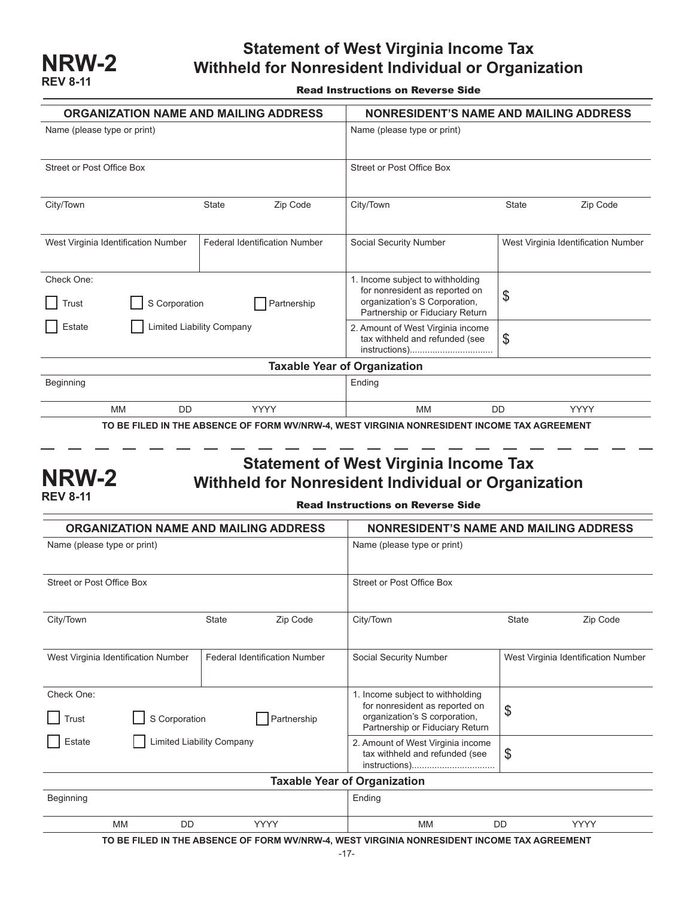

### **Statement of West Virginia Income Tax Withheld for Nonresident Individual or Organization**

#### Read Instructions on Reverse Side

| <b>ORGANIZATION NAME AND MAILING ADDRESS</b> |                                      |                                                                                                                                        | <b>NONRESIDENT'S NAME AND MAILING ADDRESS</b> |  |  |  |
|----------------------------------------------|--------------------------------------|----------------------------------------------------------------------------------------------------------------------------------------|-----------------------------------------------|--|--|--|
| Name (please type or print)                  |                                      | Name (please type or print)                                                                                                            |                                               |  |  |  |
| Street or Post Office Box                    |                                      | Street or Post Office Box                                                                                                              |                                               |  |  |  |
| City/Town                                    | <b>State</b><br>Zip Code             | City/Town                                                                                                                              | <b>State</b><br>Zip Code                      |  |  |  |
| West Virginia Identification Number          | <b>Federal Identification Number</b> | Social Security Number                                                                                                                 | West Virginia Identification Number           |  |  |  |
| Check One:<br>S Corporation<br>Trust         | Partnership                          | 1. Income subject to withholding<br>for nonresident as reported on<br>organization's S Corporation,<br>Partnership or Fiduciary Return | \$                                            |  |  |  |
| Estate                                       | <b>Limited Liability Company</b>     | 2. Amount of West Virginia income<br>tax withheld and refunded (see                                                                    | \$                                            |  |  |  |
|                                              |                                      | <b>Taxable Year of Organization</b>                                                                                                    |                                               |  |  |  |
| Beginning                                    |                                      | Ending                                                                                                                                 |                                               |  |  |  |
| <b>MM</b><br>DD                              | <b>YYYY</b>                          | <b>MM</b>                                                                                                                              | YYYY<br>DD                                    |  |  |  |

**TO BE FILED IN THE ABSENCE OF FORM WV/NRW-4, WEST VIRGINIA NONRESIDENT INCOME TAX AGREEMENT**

# **Statement of West Virginia Income Tax Withheld for Nonresident Individual or Organization**

**REV 8-11**

**NRW-2**

#### Read Instructions on Reverse Side

| <b>ORGANIZATION NAME AND MAILING ADDRESS</b> |                                      |                                                                                                                                        | <b>NONRESIDENT'S NAME AND MAILING ADDRESS</b> |  |  |  |
|----------------------------------------------|--------------------------------------|----------------------------------------------------------------------------------------------------------------------------------------|-----------------------------------------------|--|--|--|
| Name (please type or print)                  |                                      | Name (please type or print)                                                                                                            |                                               |  |  |  |
| Street or Post Office Box                    |                                      | Street or Post Office Box                                                                                                              |                                               |  |  |  |
| City/Town                                    | <b>State</b><br>Zip Code             | City/Town                                                                                                                              | <b>State</b><br>Zip Code                      |  |  |  |
| West Virginia Identification Number          | <b>Federal Identification Number</b> | Social Security Number                                                                                                                 | West Virginia Identification Number           |  |  |  |
| Check One:<br>S Corporation<br>Trust         | Partnership                          | 1. Income subject to withholding<br>for nonresident as reported on<br>organization's S corporation,<br>Partnership or Fiduciary Return | \$                                            |  |  |  |
| Estate                                       | <b>Limited Liability Company</b>     | 2. Amount of West Virginia income<br>tax withheld and refunded (see                                                                    | \$                                            |  |  |  |
|                                              |                                      | <b>Taxable Year of Organization</b>                                                                                                    |                                               |  |  |  |
| Beginning                                    |                                      | Ending                                                                                                                                 |                                               |  |  |  |
| <b>MM</b><br>DD                              | <b>YYYY</b>                          | <b>MM</b>                                                                                                                              | <b>YYYY</b><br><b>DD</b>                      |  |  |  |
|                                              |                                      | TO BE FILED IN THE ABSENCE OF FORM WV/NRW-4, WEST VIRGINIA NONRESIDENT INCOME TAX AGREEMENT                                            |                                               |  |  |  |